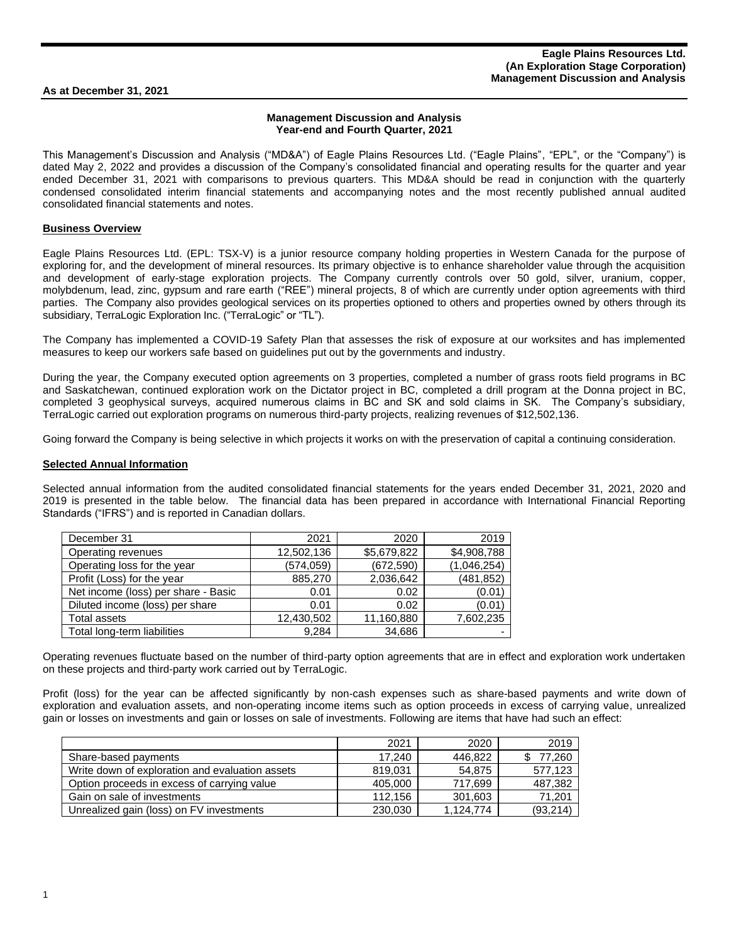**As at December 31, 2021** 

## **Management Discussion and Analysis Year-end and Fourth Quarter, 2021**

This Management's Discussion and Analysis ("MD&A") of Eagle Plains Resources Ltd. ("Eagle Plains", "EPL", or the "Company") is dated May 2, 2022 and provides a discussion of the Company's consolidated financial and operating results for the quarter and year ended December 31, 2021 with comparisons to previous quarters. This MD&A should be read in conjunction with the quarterly condensed consolidated interim financial statements and accompanying notes and the most recently published annual audited consolidated financial statements and notes.

#### **Business Overview**

Eagle Plains Resources Ltd. (EPL: TSX-V) is a junior resource company holding properties in Western Canada for the purpose of exploring for, and the development of mineral resources. Its primary objective is to enhance shareholder value through the acquisition and development of early-stage exploration projects. The Company currently controls over 50 gold, silver, uranium, copper, molybdenum, lead, zinc, gypsum and rare earth ("REE") mineral projects, 8 of which are currently under option agreements with third parties. The Company also provides geological services on its properties optioned to others and properties owned by others through its subsidiary, TerraLogic Exploration Inc. ("TerraLogic" or "TL").

The Company has implemented a COVID-19 Safety Plan that assesses the risk of exposure at our worksites and has implemented measures to keep our workers safe based on guidelines put out by the governments and industry.

During the year, the Company executed option agreements on 3 properties, completed a number of grass roots field programs in BC and Saskatchewan, continued exploration work on the Dictator project in BC, completed a drill program at the Donna project in BC, completed 3 geophysical surveys, acquired numerous claims in BC and SK and sold claims in SK. The Company's subsidiary, TerraLogic carried out exploration programs on numerous third-party projects, realizing revenues of \$12,502,136.

Going forward the Company is being selective in which projects it works on with the preservation of capital a continuing consideration.

#### **Selected Annual Information**

Selected annual information from the audited consolidated financial statements for the years ended December 31, 2021, 2020 and 2019 is presented in the table below. The financial data has been prepared in accordance with International Financial Reporting Standards ("IFRS") and is reported in Canadian dollars.

| December 31                         | 2021       | 2020        | 2019        |
|-------------------------------------|------------|-------------|-------------|
| Operating revenues                  | 12,502,136 | \$5,679,822 | \$4,908,788 |
| Operating loss for the year         | (574.059)  | (672, 590)  | (1,046,254) |
| Profit (Loss) for the year          | 885.270    | 2,036,642   | (481, 852)  |
| Net income (loss) per share - Basic | 0.01       | 0.02        | (0.01)      |
| Diluted income (loss) per share     | 0.01       | 0.02        | (0.01)      |
| Total assets                        | 12,430,502 | 11,160,880  | 7,602,235   |
| Total long-term liabilities         | 9.284      | 34,686      |             |

Operating revenues fluctuate based on the number of third-party option agreements that are in effect and exploration work undertaken on these projects and third-party work carried out by TerraLogic.

Profit (loss) for the year can be affected significantly by non-cash expenses such as share-based payments and write down of exploration and evaluation assets, and non-operating income items such as option proceeds in excess of carrying value, unrealized gain or losses on investments and gain or losses on sale of investments. Following are items that have had such an effect:

|                                                 | 2021    | 2020      | 2019      |
|-------------------------------------------------|---------|-----------|-----------|
| Share-based payments                            | 17.240  | 446,822   | 77,260    |
| Write down of exploration and evaluation assets | 819.031 | 54.875    | 577,123   |
| Option proceeds in excess of carrying value     | 405,000 | 717,699   | 487,382   |
| Gain on sale of investments                     | 112.156 | 301,603   | 71,201    |
| Unrealized gain (loss) on FV investments        | 230,030 | 1.124.774 | (93, 214) |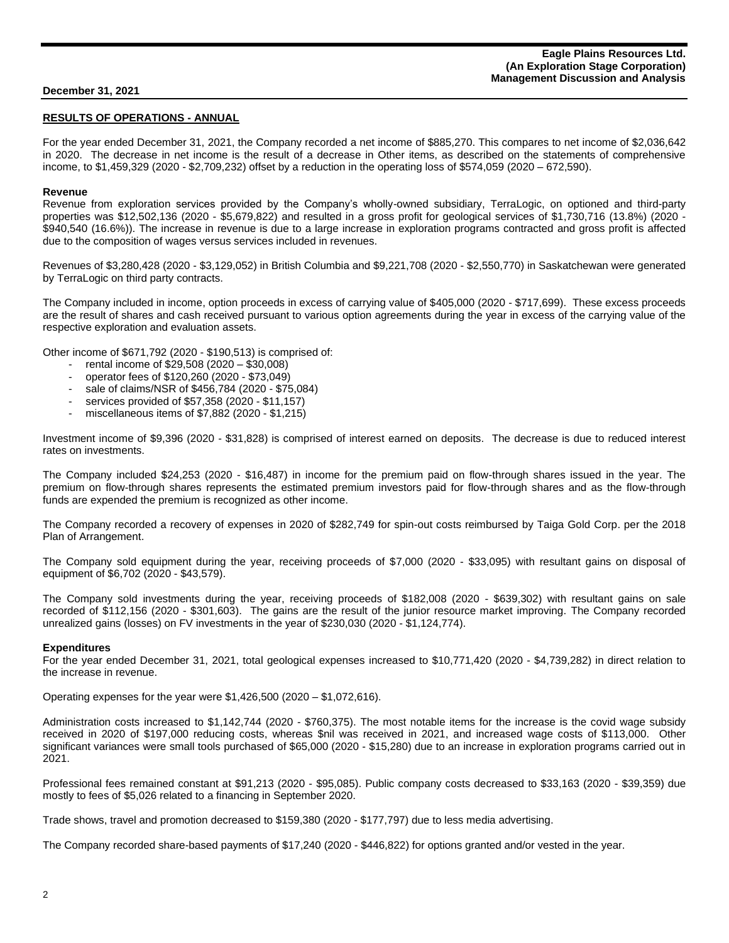# **RESULTS OF OPERATIONS - ANNUAL**

For the year ended December 31, 2021, the Company recorded a net income of \$885,270. This compares to net income of \$2,036,642 in 2020. The decrease in net income is the result of a decrease in Other items, as described on the statements of comprehensive income, to \$1,459,329 (2020 - \$2,709,232) offset by a reduction in the operating loss of \$574,059 (2020 – 672,590).

#### **Revenue**

Revenue from exploration services provided by the Company's wholly-owned subsidiary, TerraLogic, on optioned and third-party properties was \$12,502,136 (2020 - \$5,679,822) and resulted in a gross profit for geological services of \$1,730,716 (13.8%) (2020 - \$940,540 (16.6%)). The increase in revenue is due to a large increase in exploration programs contracted and gross profit is affected due to the composition of wages versus services included in revenues.

Revenues of \$3,280,428 (2020 - \$3,129,052) in British Columbia and \$9,221,708 (2020 - \$2,550,770) in Saskatchewan were generated by TerraLogic on third party contracts.

The Company included in income, option proceeds in excess of carrying value of \$405,000 (2020 - \$717,699). These excess proceeds are the result of shares and cash received pursuant to various option agreements during the year in excess of the carrying value of the respective exploration and evaluation assets.

Other income of \$671,792 (2020 - \$190,513) is comprised of:

- rental income of \$29,508 (2020 \$30,008)
- operator fees of \$120,260 (2020 \$73,049)
- sale of claims/NSR of \$456,784 (2020 \$75,084)
- services provided of \$57,358 (2020 \$11,157)
- miscellaneous items of \$7,882 (2020 \$1,215)

Investment income of \$9,396 (2020 - \$31,828) is comprised of interest earned on deposits. The decrease is due to reduced interest rates on investments.

The Company included \$24,253 (2020 - \$16,487) in income for the premium paid on flow-through shares issued in the year. The premium on flow-through shares represents the estimated premium investors paid for flow-through shares and as the flow-through funds are expended the premium is recognized as other income.

The Company recorded a recovery of expenses in 2020 of \$282,749 for spin-out costs reimbursed by Taiga Gold Corp. per the 2018 Plan of Arrangement.

The Company sold equipment during the year, receiving proceeds of \$7,000 (2020 - \$33,095) with resultant gains on disposal of equipment of \$6,702 (2020 - \$43,579).

The Company sold investments during the year, receiving proceeds of \$182,008 (2020 - \$639,302) with resultant gains on sale recorded of \$112,156 (2020 - \$301,603). The gains are the result of the junior resource market improving. The Company recorded unrealized gains (losses) on FV investments in the year of \$230,030 (2020 - \$1,124,774).

#### **Expenditures**

For the year ended December 31, 2021, total geological expenses increased to \$10,771,420 (2020 - \$4,739,282) in direct relation to the increase in revenue.

Operating expenses for the year were \$1,426,500 (2020 – \$1,072,616).

Administration costs increased to \$1,142,744 (2020 - \$760,375). The most notable items for the increase is the covid wage subsidy received in 2020 of \$197,000 reducing costs, whereas \$nil was received in 2021, and increased wage costs of \$113,000. Other significant variances were small tools purchased of \$65,000 (2020 - \$15,280) due to an increase in exploration programs carried out in 2021.

Professional fees remained constant at \$91,213 (2020 - \$95,085). Public company costs decreased to \$33,163 (2020 - \$39,359) due mostly to fees of \$5,026 related to a financing in September 2020.

Trade shows, travel and promotion decreased to \$159,380 (2020 - \$177,797) due to less media advertising.

The Company recorded share-based payments of \$17,240 (2020 - \$446,822) for options granted and/or vested in the year.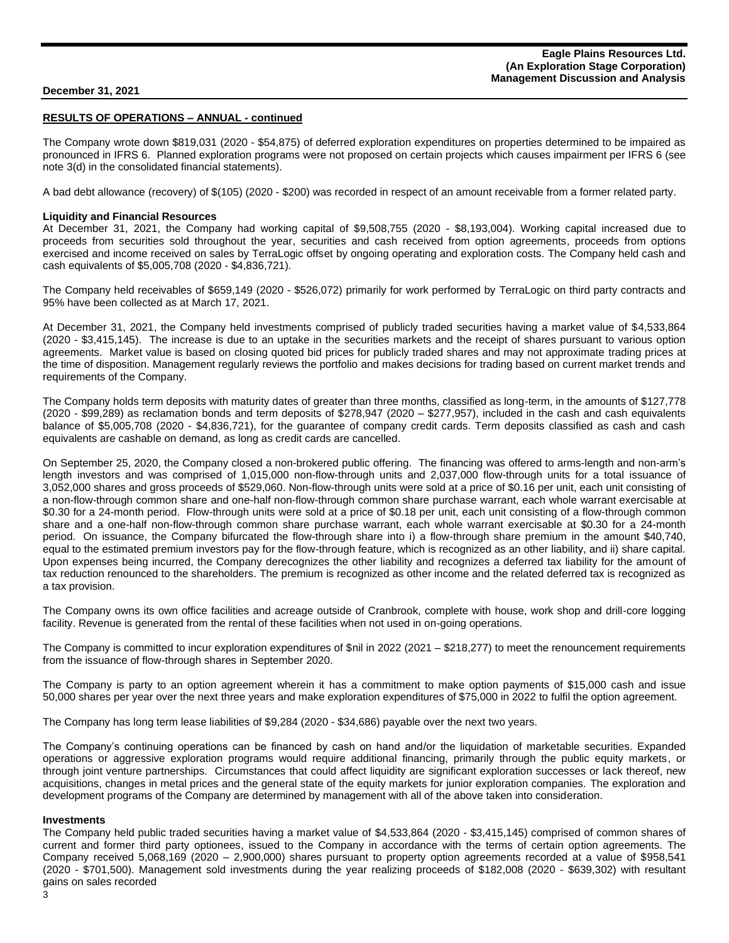# **RESULTS OF OPERATIONS – ANNUAL - continued**

The Company wrote down \$819,031 (2020 - \$54,875) of deferred exploration expenditures on properties determined to be impaired as pronounced in IFRS 6. Planned exploration programs were not proposed on certain projects which causes impairment per IFRS 6 (see note 3(d) in the consolidated financial statements).

A bad debt allowance (recovery) of \$(105) (2020 - \$200) was recorded in respect of an amount receivable from a former related party.

#### **Liquidity and Financial Resources**

At December 31, 2021, the Company had working capital of \$9,508,755 (2020 - \$8,193,004). Working capital increased due to proceeds from securities sold throughout the year, securities and cash received from option agreements, proceeds from options exercised and income received on sales by TerraLogic offset by ongoing operating and exploration costs. The Company held cash and cash equivalents of \$5,005,708 (2020 - \$4,836,721).

The Company held receivables of \$659,149 (2020 - \$526,072) primarily for work performed by TerraLogic on third party contracts and 95% have been collected as at March 17, 2021.

At December 31, 2021, the Company held investments comprised of publicly traded securities having a market value of \$4,533,864 (2020 - \$3,415,145). The increase is due to an uptake in the securities markets and the receipt of shares pursuant to various option agreements. Market value is based on closing quoted bid prices for publicly traded shares and may not approximate trading prices at the time of disposition. Management regularly reviews the portfolio and makes decisions for trading based on current market trends and requirements of the Company.

The Company holds term deposits with maturity dates of greater than three months, classified as long-term, in the amounts of \$127,778 (2020 - \$99,289) as reclamation bonds and term deposits of \$278,947 (2020 – \$277,957), included in the cash and cash equivalents balance of \$5,005,708 (2020 - \$4,836,721), for the guarantee of company credit cards. Term deposits classified as cash and cash equivalents are cashable on demand, as long as credit cards are cancelled.

On September 25, 2020, the Company closed a non-brokered public offering. The financing was offered to arms-length and non-arm's length investors and was comprised of 1,015,000 non-flow-through units and 2,037,000 flow-through units for a total issuance of 3,052,000 shares and gross proceeds of \$529,060. Non-flow-through units were sold at a price of \$0.16 per unit, each unit consisting of a non-flow-through common share and one-half non-flow-through common share purchase warrant, each whole warrant exercisable at \$0.30 for a 24-month period. Flow-through units were sold at a price of \$0.18 per unit, each unit consisting of a flow-through common share and a one-half non-flow-through common share purchase warrant, each whole warrant exercisable at \$0.30 for a 24-month period. On issuance, the Company bifurcated the flow-through share into i) a flow-through share premium in the amount \$40,740, equal to the estimated premium investors pay for the flow-through feature, which is recognized as an other liability, and ii) share capital. Upon expenses being incurred, the Company derecognizes the other liability and recognizes a deferred tax liability for the amount of tax reduction renounced to the shareholders. The premium is recognized as other income and the related deferred tax is recognized as a tax provision.

The Company owns its own office facilities and acreage outside of Cranbrook, complete with house, work shop and drill-core logging facility. Revenue is generated from the rental of these facilities when not used in on-going operations.

The Company is committed to incur exploration expenditures of \$nil in 2022 (2021 – \$218,277) to meet the renouncement requirements from the issuance of flow-through shares in September 2020.

The Company is party to an option agreement wherein it has a commitment to make option payments of \$15,000 cash and issue 50,000 shares per year over the next three years and make exploration expenditures of \$75,000 in 2022 to fulfil the option agreement.

The Company has long term lease liabilities of \$9,284 (2020 - \$34,686) payable over the next two years.

The Company's continuing operations can be financed by cash on hand and/or the liquidation of marketable securities. Expanded operations or aggressive exploration programs would require additional financing, primarily through the public equity markets, or through joint venture partnerships. Circumstances that could affect liquidity are significant exploration successes or lack thereof, new acquisitions, changes in metal prices and the general state of the equity markets for junior exploration companies. The exploration and development programs of the Company are determined by management with all of the above taken into consideration.

#### **Investments**

The Company held public traded securities having a market value of \$4,533,864 (2020 - \$3,415,145) comprised of common shares of current and former third party optionees, issued to the Company in accordance with the terms of certain option agreements. The Company received 5,068,169 (2020 – 2,900,000) shares pursuant to property option agreements recorded at a value of \$958,541 (2020 - \$701,500). Management sold investments during the year realizing proceeds of \$182,008 (2020 - \$639,302) with resultant gains on sales recorded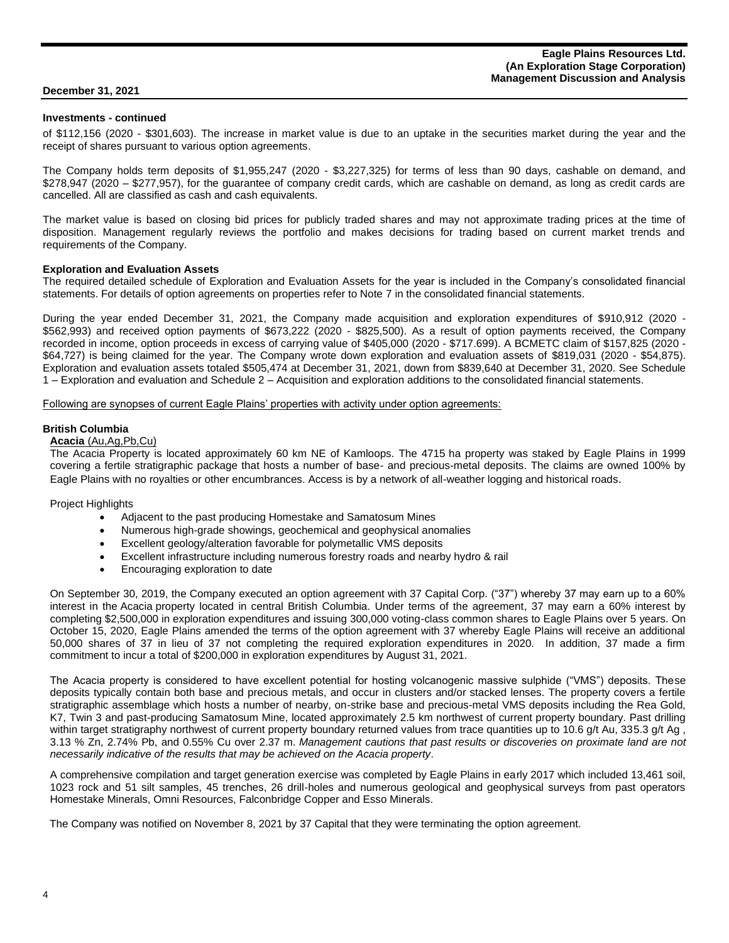#### **Investments - continued**

of \$112,156 (2020 - \$301,603). The increase in market value is due to an uptake in the securities market during the year and the receipt of shares pursuant to various option agreements.

The Company holds term deposits of \$1,955,247 (2020 - \$3,227,325) for terms of less than 90 days, cashable on demand, and \$278,947 (2020 – \$277,957), for the guarantee of company credit cards, which are cashable on demand, as long as credit cards are cancelled. All are classified as cash and cash equivalents.

The market value is based on closing bid prices for publicly traded shares and may not approximate trading prices at the time of disposition. Management regularly reviews the portfolio and makes decisions for trading based on current market trends and requirements of the Company.

#### **Exploration and Evaluation Assets**

The required detailed schedule of Exploration and Evaluation Assets for the year is included in the Company's consolidated financial statements. For details of option agreements on properties refer to Note 7 in the consolidated financial statements.

During the year ended December 31, 2021, the Company made acquisition and exploration expenditures of \$910,912 (2020 - \$562,993) and received option payments of \$673,222 (2020 - \$825,500). As a result of option payments received, the Company recorded in income, option proceeds in excess of carrying value of \$405,000 (2020 - \$717.699). A BCMETC claim of \$157,825 (2020 - \$64,727) is being claimed for the year. The Company wrote down exploration and evaluation assets of \$819,031 (2020 - \$54,875). Exploration and evaluation assets totaled \$505,474 at December 31, 2021, down from \$839,640 at December 31, 2020. See Schedule 1 – Exploration and evaluation and Schedule 2 – Acquisition and exploration additions to the consolidated financial statements.

#### Following are synopses of current Eagle Plains' properties with activity under option agreements:

#### **British Columbia**

#### **Acacia** (Au,Ag,Pb,Cu)

The Acacia Property is located approximately 60 km NE of Kamloops. The 4715 ha property was staked by Eagle Plains in 1999 covering a fertile stratigraphic package that hosts a number of base- and precious-metal deposits. The claims are owned 100% by Eagle Plains with no royalties or other encumbrances. Access is by a network of all-weather logging and historical roads.

#### Project Highlights

- Adjacent to the past producing Homestake and Samatosum Mines
- Numerous high-grade showings, geochemical and geophysical anomalies
- Excellent geology/alteration favorable for polymetallic VMS deposits
- Excellent infrastructure including numerous forestry roads and nearby hydro & rail
- Encouraging exploration to date

On September 30, 2019, the Company executed an option agreement with 37 Capital Corp. ("37") whereby 37 may earn up to a 60% interest in the Acacia property located in central British Columbia. Under terms of the agreement, 37 may earn a 60% interest by completing \$2,500,000 in exploration expenditures and issuing 300,000 voting-class common shares to Eagle Plains over 5 years. On October 15, 2020, Eagle Plains amended the terms of the option agreement with 37 whereby Eagle Plains will receive an additional 50,000 shares of 37 in lieu of 37 not completing the required exploration expenditures in 2020. In addition, 37 made a firm commitment to incur a total of \$200,000 in exploration expenditures by August 31, 2021.

The Acacia property is considered to have excellent potential for hosting volcanogenic massive sulphide ("VMS") deposits. These deposits typically contain both base and precious metals, and occur in clusters and/or stacked lenses. The property covers a fertile stratigraphic assemblage which hosts a number of nearby, on-strike base and precious-metal VMS deposits including the Rea Gold, K7, Twin 3 and past-producing Samatosum Mine, located approximately 2.5 km northwest of current property boundary. Past drilling within target stratigraphy northwest of current property boundary returned values from trace quantities up to 10.6 g/t Au, 335.3 g/t Ag, 3.13 % Zn, 2.74% Pb, and 0.55% Cu over 2.37 m. *Management cautions that past results or discoveries on proximate land are not necessarily indicative of the results that may be achieved on the Acacia property*.

A comprehensive compilation and target generation exercise was completed by Eagle Plains in early 2017 which included 13,461 soil, 1023 rock and 51 silt samples, 45 trenches, 26 drill-holes and numerous geological and geophysical surveys from past operators Homestake Minerals, Omni Resources, Falconbridge Copper and Esso Minerals.

The Company was notified on November 8, 2021 by 37 Capital that they were terminating the option agreement.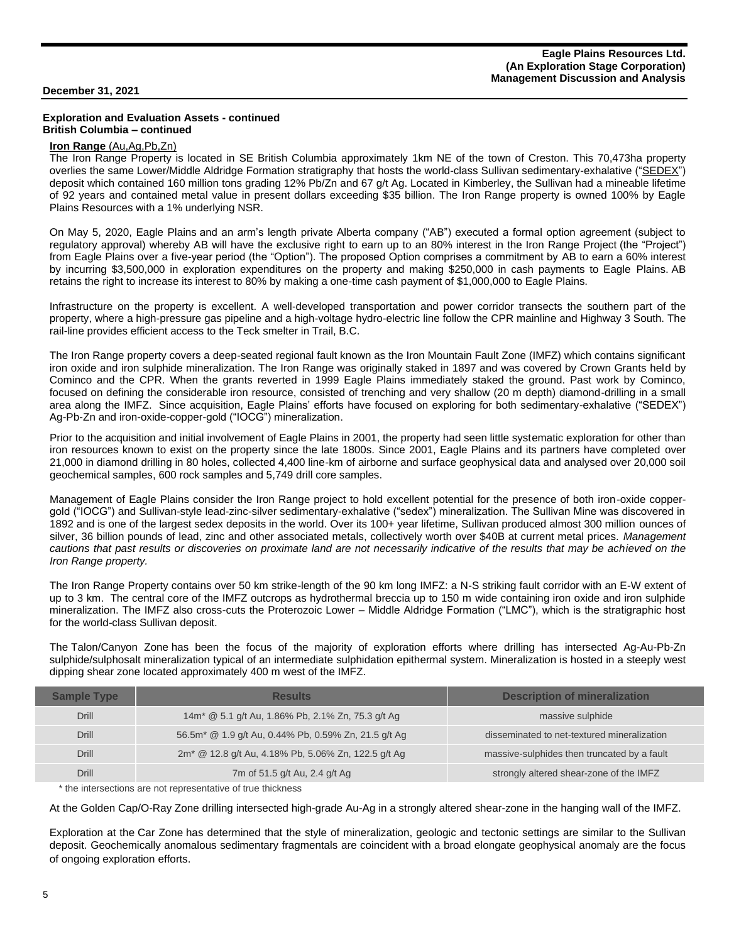#### **Exploration and Evaluation Assets - continued British Columbia – continued**

## **Iron Range** (Au,Ag,Pb,Zn)

The Iron Range Property is located in SE British Columbia approximately 1km NE of the town of Creston. This 70,473ha property overlies the same Lower/Middle Aldridge Formation stratigraphy that hosts the world-class Sullivan sedimentary-exhalative (["SEDEX"](https://www.youtube.com/watch?time_continue=1&v=zPjrJN80JFQ)) deposit which contained 160 million tons grading 12% Pb/Zn and 67 g/t Ag. Located in Kimberley, the Sullivan had a mineable lifetime of 92 years and contained metal value in present dollars exceeding \$35 billion. The Iron Range property is owned 100% by Eagle Plains Resources with a 1% underlying NSR.

On May 5, 2020, Eagle Plains and an arm's length private Alberta company ("AB") executed a formal option agreement (subject to regulatory approval) whereby AB will have the exclusive right to earn up to an 80% interest in the Iron Range Project (the "Project") from Eagle Plains over a five-year period (the "Option"). The proposed Option comprises a commitment by AB to earn a 60% interest by incurring \$3,500,000 in exploration expenditures on the property and making \$250,000 in cash payments to Eagle Plains. AB retains the right to increase its interest to 80% by making a one-time cash payment of \$1,000,000 to Eagle Plains.

Infrastructure on the property is excellent. A well-developed transportation and power corridor transects the southern part of the property, where a high-pressure gas pipeline and a high-voltage hydro-electric line follow the CPR mainline and Highway 3 South. The rail-line provides efficient access to the Teck smelter in Trail, B.C.

The Iron Range property covers a deep-seated regional fault known as the Iron Mountain Fault Zone (IMFZ) which contains significant iron oxide and iron sulphide mineralization. The Iron Range was originally staked in 1897 and was covered by Crown Grants held by Cominco and the CPR. When the grants reverted in 1999 Eagle Plains immediately staked the ground. Past work by Cominco, focused on defining the considerable iron resource, consisted of trenching and very shallow (20 m depth) diamond-drilling in a small area along the IMFZ. Since acquisition, Eagle Plains' efforts have focused on exploring for both sedimentary-exhalative ("SEDEX") Ag-Pb-Zn and iron-oxide-copper-gold ("IOCG") mineralization.

Prior to the acquisition and initial involvement of Eagle Plains in 2001, the property had seen little systematic exploration for other than iron resources known to exist on the property since the late 1800s. Since 2001, Eagle Plains and its partners have completed over 21,000 in diamond drilling in 80 holes, collected 4,400 line-km of airborne and surface geophysical data and analysed over 20,000 soil geochemical samples, 600 rock samples and 5,749 drill core samples.

Management of Eagle Plains consider the Iron Range project to hold excellent potential for the presence of both iron-oxide coppergold ("IOCG") and Sullivan-style lead-zinc-silver sedimentary-exhalative ("sedex") mineralization. The Sullivan Mine was discovered in 1892 and is one of the largest sedex deposits in the world. Over its 100+ year lifetime, Sullivan produced almost 300 million ounces of silver, 36 billion pounds of lead, zinc and other associated metals, collectively worth over \$40B at current metal prices. *Management cautions that past results or discoveries on proximate land are not necessarily indicative of the results that may be achieved on the Iron Range property.* 

The Iron Range Property contains over 50 km strike-length of the 90 km long IMFZ: a N-S striking fault corridor with an E-W extent of up to 3 km. The central core of the IMFZ outcrops as hydrothermal breccia up to 150 m wide containing iron oxide and iron sulphide mineralization. The IMFZ also cross-cuts the Proterozoic Lower – Middle Aldridge Formation ("LMC"), which is the stratigraphic host for the world-class Sullivan deposit.

The Talon/Canyon Zone has been the focus of the majority of exploration efforts where drilling has intersected Ag-Au-Pb-Zn sulphide/sulphosalt mineralization typical of an intermediate sulphidation epithermal system. Mineralization is hosted in a steeply west dipping shear zone located approximately 400 m west of the IMFZ.

| <b>Sample Type</b> | <b>Results</b>                                                   | <b>Description of mineralization</b>        |
|--------------------|------------------------------------------------------------------|---------------------------------------------|
| <b>Drill</b>       | 14m <sup>*</sup> @ 5.1 g/t Au, 1.86% Pb, 2.1% Zn, 75.3 g/t Ag    | massive sulphide                            |
| <b>Drill</b>       | 56.5m <sup>*</sup> @ 1.9 g/t Au, 0.44% Pb, 0.59% Zn, 21.5 g/t Ag | disseminated to net-textured mineralization |
| <b>Drill</b>       | 2m <sup>*</sup> @ 12.8 g/t Au, 4.18% Pb, 5.06% Zn, 122.5 g/t Ag  | massive-sulphides then truncated by a fault |
| Drill              | 7m of 51.5 g/t Au, 2.4 g/t Ag                                    | strongly altered shear-zone of the IMFZ     |

\* the intersections are not representative of true thickness

At the Golden Cap/O-Ray Zone drilling intersected high-grade Au-Ag in a strongly altered shear-zone in the hanging wall of the IMFZ.

Exploration at the Car Zone has determined that the style of mineralization, geologic and tectonic settings are similar to the Sullivan deposit. Geochemically anomalous sedimentary fragmentals are coincident with a broad elongate geophysical anomaly are the focus of ongoing exploration efforts.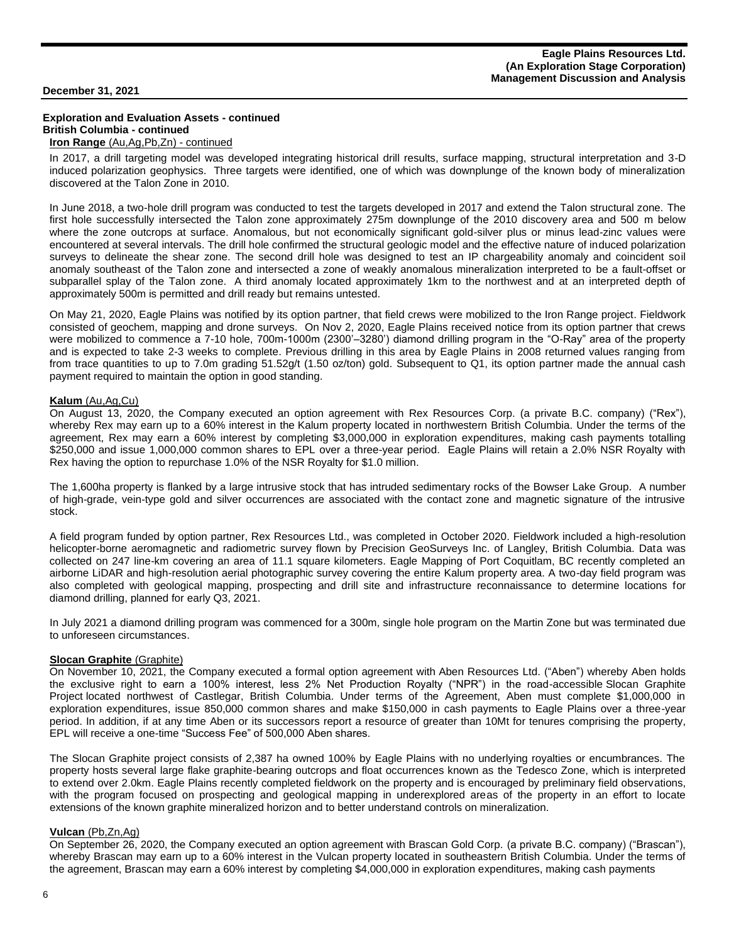#### **Exploration and Evaluation Assets - continued British Columbia - continued Iron Range** (Au,Ag,Pb,Zn) - continued

In 2017, a drill targeting model was developed integrating historical drill results, surface mapping, structural interpretation and 3-D induced polarization geophysics. Three targets were identified, one of which was downplunge of the known body of mineralization discovered at the Talon Zone in 2010.

In June 2018, a two-hole drill program was conducted to test the targets developed in 2017 and extend the Talon structural zone. The first hole successfully intersected the Talon zone approximately 275m downplunge of the 2010 discovery area and 500 m below where the zone outcrops at surface. Anomalous, but not economically significant gold-silver plus or minus lead-zinc values were encountered at several intervals. The drill hole confirmed the structural geologic model and the effective nature of induced polarization surveys to delineate the shear zone. The second drill hole was designed to test an IP chargeability anomaly and coincident soil anomaly southeast of the Talon zone and intersected a zone of weakly anomalous mineralization interpreted to be a fault-offset or subparallel splay of the Talon zone. A third anomaly located approximately 1km to the northwest and at an interpreted depth of approximately 500m is permitted and drill ready but remains untested.

On May 21, 2020, Eagle Plains was notified by its option partner, that field crews were mobilized to the Iron Range project. Fieldwork consisted of geochem, mapping and drone surveys. On Nov 2, 2020, Eagle Plains received notice from its option partner that crews were mobilized to commence a 7-10 hole, 700m-1000m (2300'–3280') diamond drilling program in the "O-Ray" area of the property and is expected to take 2-3 weeks to complete. Previous drilling in this area by Eagle Plains in 2008 returned values ranging from from trace quantities to up to 7.0m grading 51.52g/t (1.50 oz/ton) gold. Subsequent to Q1, its option partner made the annual cash payment required to maintain the option in good standing.

#### **Kalum** (Au,Ag,Cu)

On August 13, 2020, the Company executed an option agreement with Rex Resources Corp. (a private B.C. company) ("Rex"), whereby Rex may earn up to a 60% interest in the Kalum property located in northwestern British Columbia. Under the terms of the agreement, Rex may earn a 60% interest by completing \$3,000,000 in exploration expenditures, making cash payments totalling \$250,000 and issue 1,000,000 common shares to EPL over a three-year period. Eagle Plains will retain a 2.0% NSR Royalty with Rex having the option to repurchase 1.0% of the NSR Royalty for \$1.0 million.

The 1,600ha property is flanked by a large intrusive stock that has intruded sedimentary rocks of the Bowser Lake Group. A number of high-grade, vein-type gold and silver occurrences are associated with the contact zone and magnetic signature of the intrusive stock.

A field program funded by option partner, Rex Resources Ltd., was completed in October 2020. Fieldwork included a high-resolution helicopter-borne aeromagnetic and radiometric survey flown by Precision GeoSurveys Inc. of Langley, British Columbia. Data was collected on 247 line-km covering an area of 11.1 square kilometers. Eagle Mapping of Port Coquitlam, BC recently completed an airborne LiDAR and high-resolution aerial photographic survey covering the entire Kalum property area. A two-day field program was also completed with geological mapping, prospecting and drill site and infrastructure reconnaissance to determine locations for diamond drilling, planned for early Q3, 2021.

In July 2021 a diamond drilling program was commenced for a 300m, single hole program on the Martin Zone but was terminated due to unforeseen circumstances.

#### **Slocan Graphite (Graphite)**

On November 10, 2021, the Company executed a formal option agreement with Aben Resources Ltd. ("Aben") whereby Aben holds the exclusive right to earn a 100% interest, less 2% Net Production Royalty ("NPR") in the road-accessible Slocan Graphite Project located northwest of Castlegar, British Columbia. Under terms of the Agreement, Aben must complete \$1,000,000 in exploration expenditures, issue 850,000 common shares and make \$150,000 in cash payments to Eagle Plains over a three-year period. In addition, if at any time Aben or its successors report a resource of greater than 10Mt for tenures comprising the property, EPL will receive a one-time "Success Fee" of 500,000 Aben shares.

The Slocan Graphite project consists of 2,387 ha owned 100% by Eagle Plains with no underlying royalties or encumbrances. The property hosts several large flake graphite-bearing outcrops and float occurrences known as the Tedesco Zone, which is interpreted to extend over 2.0km. Eagle Plains recently completed fieldwork on the property and is encouraged by preliminary field observations, with the program focused on prospecting and geological mapping in underexplored areas of the property in an effort to locate extensions of the known graphite mineralized horizon and to better understand controls on mineralization.

#### **Vulcan** (Pb,Zn,Ag)

On September 26, 2020, the Company executed an option agreement with Brascan Gold Corp. (a private B.C. company) ("Brascan"), whereby Brascan may earn up to a 60% interest in the Vulcan property located in southeastern British Columbia. Under the terms of the agreement, Brascan may earn a 60% interest by completing \$4,000,000 in exploration expenditures, making cash payments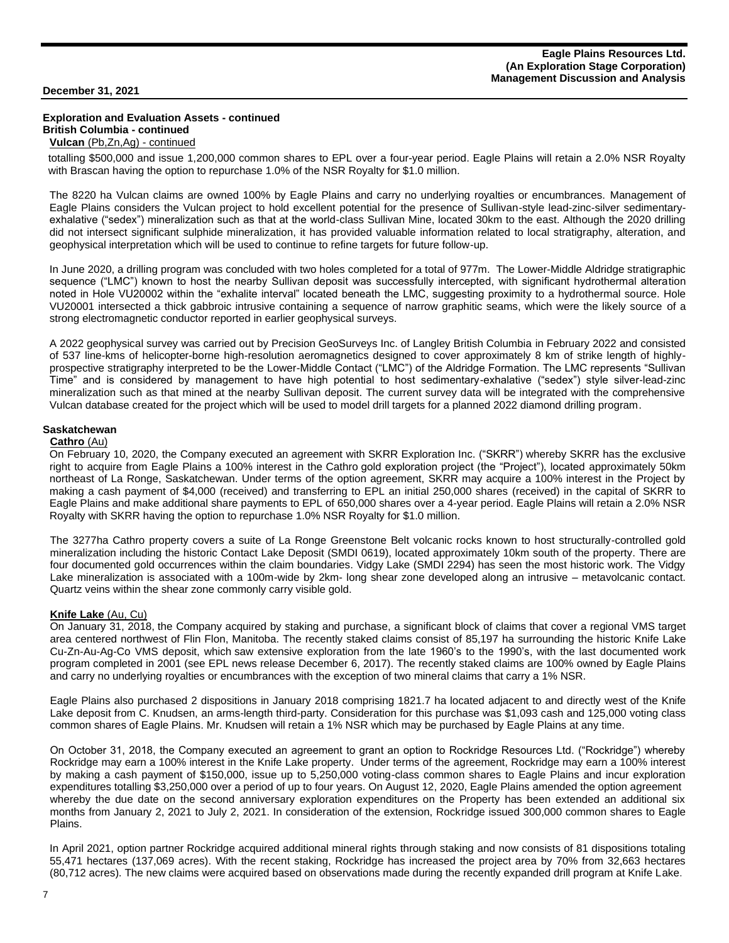#### **Exploration and Evaluation Assets - continued British Columbia - continued Vulcan** (Pb,Zn,Ag) - continued

totalling \$500,000 and issue 1,200,000 common shares to EPL over a four-year period. Eagle Plains will retain a 2.0% NSR Royalty with Brascan having the option to repurchase 1.0% of the NSR Royalty for \$1.0 million.

The 8220 ha Vulcan claims are owned 100% by Eagle Plains and carry no underlying royalties or encumbrances. Management of Eagle Plains considers the Vulcan project to hold excellent potential for the presence of Sullivan-style lead-zinc-silver sedimentaryexhalative ("sedex") mineralization such as that at the world-class Sullivan Mine, located 30km to the east. Although the 2020 drilling did not intersect significant sulphide mineralization, it has provided valuable information related to local stratigraphy, alteration, and geophysical interpretation which will be used to continue to refine targets for future follow-up.

In June 2020, a drilling program was concluded with two holes completed for a total of 977m. The Lower-Middle Aldridge stratigraphic sequence ("LMC") known to host the nearby Sullivan deposit was successfully intercepted, with significant hydrothermal alteration noted in Hole VU20002 within the "exhalite interval" located beneath the LMC, suggesting proximity to a hydrothermal source. Hole VU20001 intersected a thick gabbroic intrusive containing a sequence of narrow graphitic seams, which were the likely source of a strong electromagnetic conductor reported in earlier geophysical surveys.

A 2022 geophysical survey was carried out by Precision GeoSurveys Inc. of Langley British Columbia in February 2022 and consisted of 537 line-kms of helicopter-borne high-resolution aeromagnetics designed to cover approximately 8 km of strike length of highlyprospective stratigraphy interpreted to be the Lower-Middle Contact ("LMC") of the Aldridge Formation. The LMC represents "Sullivan Time" and is considered by management to have high potential to host sedimentary-exhalative ("sedex") style silver-lead-zinc mineralization such as that mined at the nearby Sullivan deposit. The current survey data will be integrated with the comprehensive Vulcan database created for the project which will be used to model drill targets for a planned 2022 diamond drilling program.

#### **Saskatchewan**

#### **Cathro** (Au)

On February 10, 2020, the Company executed an agreement with SKRR Exploration Inc. ("SKRR") whereby SKRR has the exclusive right to acquire from Eagle Plains a 100% interest in the Cathro gold exploration project (the "Project"), located approximately 50km northeast of La Ronge, Saskatchewan. Under terms of the option agreement, SKRR may acquire a 100% interest in the Project by making a cash payment of \$4,000 (received) and transferring to EPL an initial 250,000 shares (received) in the capital of SKRR to Eagle Plains and make additional share payments to EPL of 650,000 shares over a 4-year period. Eagle Plains will retain a 2.0% NSR Royalty with SKRR having the option to repurchase 1.0% NSR Royalty for \$1.0 million.

The 3277ha Cathro property covers a suite of La Ronge Greenstone Belt volcanic rocks known to host structurally-controlled gold mineralization including the historic Contact Lake Deposit (SMDI 0619), located approximately 10km south of the property. There are four documented gold occurrences within the claim boundaries. Vidgy Lake (SMDI 2294) has seen the most historic work. The Vidgy Lake mineralization is associated with a 100m-wide by 2km- long shear zone developed along an intrusive – metavolcanic contact. Quartz veins within the shear zone commonly carry visible gold.

## **Knife Lake** (Au, Cu)

On January 31, 2018, the Company acquired by staking and purchase, a significant block of claims that cover a regional VMS target area centered northwest of Flin Flon, Manitoba. The recently staked claims consist of 85,197 ha surrounding the historic Knife Lake Cu-Zn-Au-Ag-Co VMS deposit, which saw extensive exploration from the late 1960's to the 1990's, with the last documented work program completed in 2001 (see EPL news release December 6, 2017). The recently staked claims are 100% owned by Eagle Plains and carry no underlying royalties or encumbrances with the exception of two mineral claims that carry a 1% NSR.

Eagle Plains also purchased 2 dispositions in January 2018 comprising 1821.7 ha located adjacent to and directly west of the Knife Lake deposit from C. Knudsen, an arms-length third-party. Consideration for this purchase was \$1,093 cash and 125,000 voting class common shares of Eagle Plains. Mr. Knudsen will retain a 1% NSR which may be purchased by Eagle Plains at any time.

On October 31, 2018, the Company executed an agreement to grant an option to Rockridge Resources Ltd. ("Rockridge") whereby Rockridge may earn a 100% interest in the Knife Lake property. Under terms of the agreement, Rockridge may earn a 100% interest by making a cash payment of \$150,000, issue up to 5,250,000 voting-class common shares to Eagle Plains and incur exploration expenditures totalling \$3,250,000 over a period of up to four years. On August 12, 2020, Eagle Plains amended the option agreement whereby the due date on the second anniversary exploration expenditures on the Property has been extended an additional six months from January 2, 2021 to July 2, 2021. In consideration of the extension, Rockridge issued 300,000 common shares to Eagle Plains.

In April 2021, option partner Rockridge acquired additional mineral rights through staking and now consists of 81 dispositions totaling 55,471 hectares (137,069 acres). With the recent staking, Rockridge has increased the project area by 70% from 32,663 hectares (80,712 acres). The new claims were acquired based on observations made during the recently expanded drill program at Knife Lake.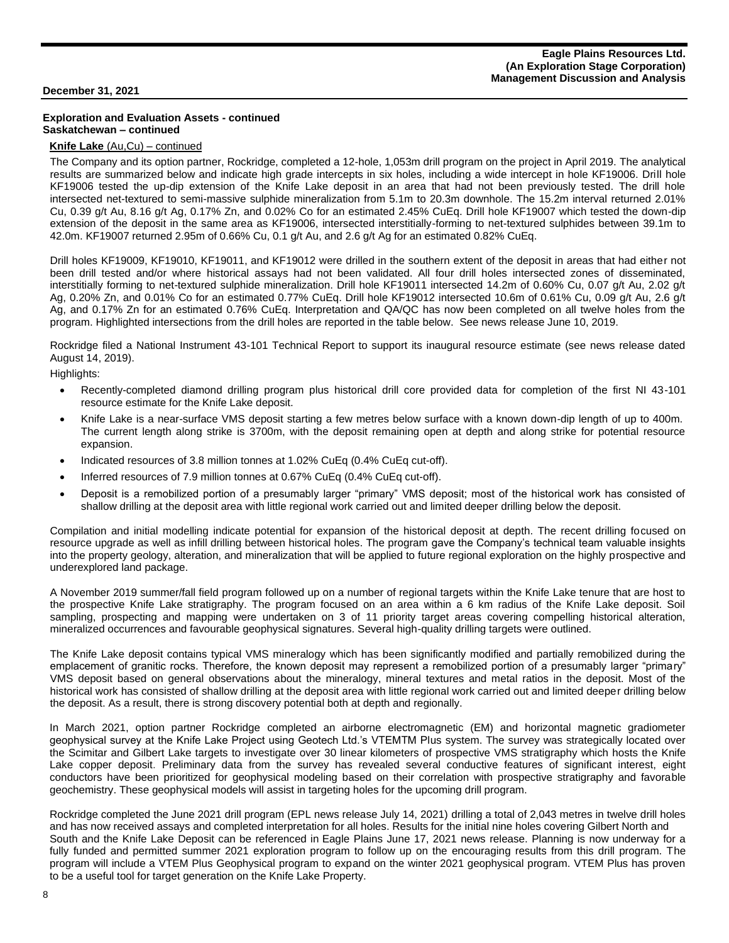#### **Exploration and Evaluation Assets - continued Saskatchewan – continued**

## **Knife Lake** (Au,Cu) – continued

The Company and its option partner, Rockridge, completed a 12-hole, 1,053m drill program on the project in April 2019. The analytical results are summarized below and indicate high grade intercepts in six holes, including a wide intercept in hole KF19006. Drill hole KF19006 tested the up-dip extension of the Knife Lake deposit in an area that had not been previously tested. The drill hole intersected net-textured to semi-massive sulphide mineralization from 5.1m to 20.3m downhole. The 15.2m interval returned 2.01% Cu, 0.39 g/t Au, 8.16 g/t Ag, 0.17% Zn, and 0.02% Co for an estimated 2.45% CuEq. Drill hole KF19007 which tested the down-dip extension of the deposit in the same area as KF19006, intersected interstitially-forming to net-textured sulphides between 39.1m to 42.0m. KF19007 returned 2.95m of 0.66% Cu, 0.1 g/t Au, and 2.6 g/t Ag for an estimated 0.82% CuEq.

Drill holes KF19009, KF19010, KF19011, and KF19012 were drilled in the southern extent of the deposit in areas that had either not been drill tested and/or where historical assays had not been validated. All four drill holes intersected zones of disseminated, interstitially forming to net-textured sulphide mineralization. Drill hole KF19011 intersected 14.2m of 0.60% Cu, 0.07 g/t Au, 2.02 g/t Ag, 0.20% Zn, and 0.01% Co for an estimated 0.77% CuEq. Drill hole KF19012 intersected 10.6m of 0.61% Cu, 0.09 g/t Au, 2.6 g/t Ag, and 0.17% Zn for an estimated 0.76% CuEq. Interpretation and QA/QC has now been completed on all twelve holes from the program. Highlighted intersections from the drill holes are reported in the table below. See news release June 10, 2019.

Rockridge filed a National Instrument 43-101 Technical Report to support its inaugural resource estimate (see news release dated August 14, 2019).

Highlights:

- Recently-completed diamond drilling program plus historical drill core provided data for completion of the first NI 43-101 resource estimate for the Knife Lake deposit.
- Knife Lake is a near-surface VMS deposit starting a few metres below surface with a known down-dip length of up to 400m. The current length along strike is 3700m, with the deposit remaining open at depth and along strike for potential resource expansion.
- Indicated resources of 3.8 million tonnes at 1.02% CuEq (0.4% CuEq cut-off).
- Inferred resources of 7.9 million tonnes at 0.67% CuEq (0.4% CuEq cut-off).
- Deposit is a remobilized portion of a presumably larger "primary" VMS deposit; most of the historical work has consisted of shallow drilling at the deposit area with little regional work carried out and limited deeper drilling below the deposit.

Compilation and initial modelling indicate potential for expansion of the historical deposit at depth. The recent drilling focused on resource upgrade as well as infill drilling between historical holes. The program gave the Company's technical team valuable insights into the property geology, alteration, and mineralization that will be applied to future regional exploration on the highly prospective and underexplored land package.

A November 2019 summer/fall field program followed up on a number of regional targets within the Knife Lake tenure that are host to the prospective Knife Lake stratigraphy. The program focused on an area within a 6 km radius of the Knife Lake deposit. Soil sampling, prospecting and mapping were undertaken on 3 of 11 priority target areas covering compelling historical alteration, mineralized occurrences and favourable geophysical signatures. Several high-quality drilling targets were outlined.

The Knife Lake deposit contains typical VMS mineralogy which has been significantly modified and partially remobilized during the emplacement of granitic rocks. Therefore, the known deposit may represent a remobilized portion of a presumably larger "primary" VMS deposit based on general observations about the mineralogy, mineral textures and metal ratios in the deposit. Most of the historical work has consisted of shallow drilling at the deposit area with little regional work carried out and limited deeper drilling below the deposit. As a result, there is strong discovery potential both at depth and regionally.

In March 2021, option partner Rockridge completed an airborne electromagnetic (EM) and horizontal magnetic gradiometer geophysical survey at the Knife Lake Project using Geotech Ltd.'s VTEMTM Plus system. The survey was strategically located over the Scimitar and Gilbert Lake targets to investigate over 30 linear kilometers of prospective VMS stratigraphy which hosts the Knife Lake copper deposit. Preliminary data from the survey has revealed several conductive features of significant interest, eight conductors have been prioritized for geophysical modeling based on their correlation with prospective stratigraphy and favorable geochemistry. These geophysical models will assist in targeting holes for the upcoming drill program.

Rockridge completed the June 2021 drill program (EPL news release July 14, 2021) drilling a total of 2,043 metres in twelve drill holes and has now received assays and completed interpretation for all holes. Results for the initial nine holes covering Gilbert North and South and the Knife Lake Deposit can be referenced in Eagle Plains June 17, 2021 news [release.](https://www.eagleplains.com/news/eagle-plains%E2%80%99-partner-rockridge-resources-intersects-195-cu-011-gt-au-741-gt-ag-053-zn-and-002) Planning is now underway for a fully funded and permitted summer 2021 exploration program to follow up on the encouraging results from this drill program. The program will include a VTEM Plus Geophysical program to expand on the winter 2021 geophysical program. VTEM Plus has proven to be a useful tool for target generation on the Knife Lake Property.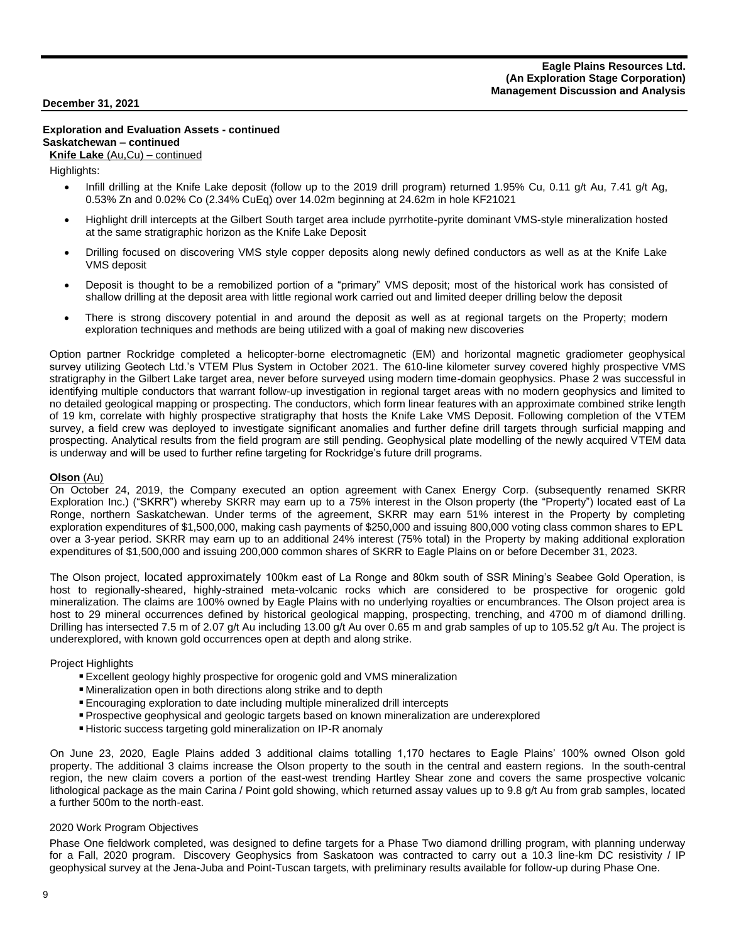## **Exploration and Evaluation Assets - continued Saskatchewan – continued**

#### **Knife Lake** (Au,Cu) – continued

Highlights:

- Infill drilling at the Knife Lake deposit (follow up to the 2019 drill program) returned 1.95% Cu, 0.11 g/t Au, 7.41 g/t Ag, 0.53% Zn and 0.02% Co (2.34% CuEq) over 14.02m beginning at 24.62m in hole KF21021
- Highlight drill intercepts at the Gilbert South target area include pyrrhotite-pyrite dominant VMS-style mineralization hosted at the same stratigraphic horizon as the Knife Lake Deposit
- Drilling focused on discovering VMS style copper deposits along newly defined conductors as well as at the Knife Lake VMS deposit
- Deposit is thought to be a remobilized portion of a "primary" VMS deposit; most of the historical work has consisted of shallow drilling at the deposit area with little regional work carried out and limited deeper drilling below the deposit
- There is strong discovery potential in and around the deposit as well as at regional targets on the Property; modern exploration techniques and methods are being utilized with a goal of making new discoveries

Option partner Rockridge completed a helicopter-borne electromagnetic (EM) and horizontal magnetic gradiometer geophysical survey utilizing Geotech Ltd.'s VTEM Plus System in October 2021. The 610-line kilometer survey covered highly prospective VMS stratigraphy in the Gilbert Lake target area, never before surveyed using modern time-domain geophysics. Phase 2 was successful in identifying multiple conductors that warrant follow-up investigation in regional target areas with no modern geophysics and limited to no detailed geological mapping or prospecting. The conductors, which form linear features with an approximate combined strike length of 19 km, correlate with highly prospective stratigraphy that hosts the Knife Lake VMS Deposit. Following completion of the VTEM survey, a field crew was deployed to investigate significant anomalies and further define drill targets through surficial mapping and prospecting. Analytical results from the field program are still pending. Geophysical plate modelling of the newly acquired VTEM data is underway and will be used to further refine targeting for Rockridge's future drill programs.

## **Olson** (Au)

On October 24, 2019, the Company executed an option agreement with Canex Energy Corp. (subsequently renamed SKRR Exploration Inc.) ("SKRR") whereby SKRR may earn up to a 75% interest in the Olson property (the "Property") located east of La Ronge, northern Saskatchewan. Under terms of the agreement, SKRR may earn 51% interest in the Property by completing exploration expenditures of \$1,500,000, making cash payments of \$250,000 and issuing 800,000 voting class common shares to EPL over a 3-year period. SKRR may earn up to an additional 24% interest (75% total) in the Property by making additional exploration expenditures of \$1,500,000 and issuing 200,000 common shares of SKRR to Eagle Plains on or before December 31, 2023.

The Olson project, located approximately 100km east of La Ronge and 80km south of SSR Mining's Seabee Gold Operation, is host to regionally-sheared, highly-strained meta-volcanic rocks which are considered to be prospective for orogenic gold mineralization. The claims are 100% owned by Eagle Plains with no underlying royalties or encumbrances. The Olson project area is host to 29 mineral occurrences defined by historical geological mapping, prospecting, trenching, and 4700 m of diamond drilling. Drilling has intersected 7.5 m of 2.07 g/t Au including 13.00 g/t Au over 0.65 m and grab samples of up to 105.52 g/t Au. The project is underexplored, with known gold occurrences open at depth and along strike.

#### Project Highlights

- **Excellent geology highly prospective for orogenic gold and VMS mineralization**
- Mineralization open in both directions along strike and to depth
- ▪Encouraging exploration to date including multiple mineralized drill intercepts
- ▪Prospective geophysical and geologic targets based on known mineralization are underexplored
- **EXTERNIFIELD FIRTH** Historic success targeting gold mineralization on IP-R anomaly

On June 23, 2020, Eagle Plains added 3 additional claims totalling 1,170 hectares to Eagle Plains' 100% owned Olson gold property. The additional 3 claims increase the Olson property to the south in the central and eastern regions. In the south-central region, the new claim covers a portion of the east-west trending Hartley Shear zone and covers the same prospective volcanic lithological package as the main Carina / Point gold showing, which returned assay values up to 9.8 g/t Au from grab samples, located a further 500m to the north-east.

#### 2020 Work Program Objectives

Phase One fieldwork completed, was designed to define targets for a Phase Two diamond drilling program, with planning underway for a Fall, 2020 program. Discovery Geophysics from Saskatoon was contracted to carry out a 10.3 line-km DC resistivity / IP geophysical survey at the Jena-Juba and Point-Tuscan targets, with preliminary results available for follow-up during Phase One.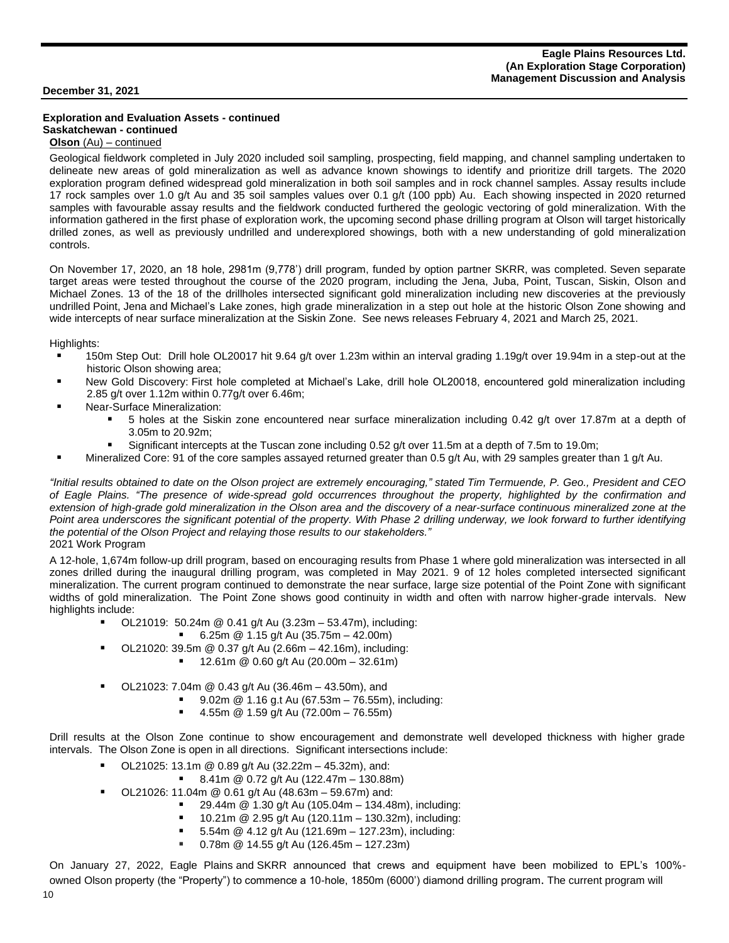# **Exploration and Evaluation Assets - continued Saskatchewan - continued**

# **Olson** (Au) – continued

Geological fieldwork completed in July 2020 included soil sampling, prospecting, field mapping, and channel sampling undertaken to delineate new areas of gold mineralization as well as advance known showings to identify and prioritize drill targets. The 2020 exploration program defined widespread gold mineralization in both soil samples and in rock channel samples. Assay results include 17 rock samples over 1.0 g/t Au and 35 soil samples values over 0.1 g/t (100 ppb) Au. Each showing inspected in 2020 returned samples with favourable assay results and the fieldwork conducted furthered the geologic vectoring of gold mineralization. With the information gathered in the first phase of exploration work, the upcoming second phase drilling program at Olson will target historically drilled zones, as well as previously undrilled and underexplored showings, both with a new understanding of gold mineralization controls.

On November 17, 2020, an 18 hole, 2981m (9,778') drill program, funded by option partner SKRR, was completed. Seven separate target areas were tested throughout the course of the 2020 program, including the Jena, Juba, Point, Tuscan, Siskin, Olson and Michael Zones. 13 of the 18 of the drillholes intersected significant gold mineralization including new discoveries at the previously undrilled Point, Jena and Michael's Lake zones, high grade mineralization in a step out hole at the historic Olson Zone showing and wide intercepts of near surface mineralization at the Siskin Zone. See news releases February 4, 2021 and March 25, 2021.

Highlights:

- 150m Step Out: Drill hole OL20017 hit 9.64 g/t over 1.23m within an interval grading 1.19g/t over 19.94m in a step-out at the historic Olson showing area;
- New Gold Discovery: First hole completed at Michael's Lake, drill hole OL20018, encountered gold mineralization including 2.85 g/t over 1.12m within 0.77g/t over 6.46m;
- Near-Surface Mineralization:
	- 5 holes at the Siskin zone encountered near surface mineralization including 0.42 g/t over 17.87m at a depth of 3.05m to 20.92m;
	- Significant intercepts at the Tuscan zone including 0.52 g/t over 11.5m at a depth of 7.5m to 19.0m;
	- Mineralized Core: 91 of the core samples assayed returned greater than 0.5 g/t Au, with 29 samples greater than 1 g/t Au.

"Initial results obtained to date on the Olson project are extremely encouraging," stated Tim Termuende, P. Geo., President and CEO of Eagle Plains. "The presence of wide-spread gold occurrences throughout the property, highlighted by the confirmation and extension of high-grade gold mineralization in the Olson area and the discovery of a near-surface continuous mineralized zone at the Point area underscores the significant potential of the property. With Phase 2 drilling underway, we look forward to further identifying *the potential of the Olson Project and relaying those results to our stakeholders."* 2021 Work Program

A 12-hole, 1,674m follow-up drill program, based on encouraging results from Phase 1 where gold mineralization was intersected in all zones drilled during the inaugural drilling program, was completed in May 2021. 9 of 12 holes completed intersected significant mineralization. The current program continued to demonstrate the near surface, large size potential of the Point Zone with significant widths of gold mineralization. The Point Zone shows good continuity in width and often with narrow higher-grade intervals. New highlights include:

- OL21019: 50.24m @ 0.41 g/t Au (3.23m 53.47m), including:
	- 6.25m @ 1.15 g/t Au (35.75m 42.00m)
- OL21020: 39.5m @ 0.37 g/t Au (2.66m 42.16m), including:
	- 12.61m @ 0.60 g/t Au (20.00m 32.61m)
- OL21023: 7.04m @ 0.43 g/t Au (36.46m 43.50m), and
	- 9.02m @ 1.16 g.t Au (67.53m 76.55m), including:
	- 4.55m @ 1.59 g/t Au (72.00m 76.55m)

Drill results at the Olson Zone continue to show encouragement and demonstrate well developed thickness with higher grade intervals. The Olson Zone is open in all directions. Significant intersections include:

- OL21025: 13.1m @ 0.89 g/t Au (32.22m 45.32m), and:
	- 8.41m @ 0.72 g/t Au (122.47m 130.88m)
- OL21026: 11.04m @ 0.61 g/t Au (48.63m 59.67m) and:
	- 29.44m @ 1.30 g/t Au (105.04m 134.48m), including:
	- 10.21m @ 2.95 g/t Au (120.11m 130.32m), including:
	- 5.54m @ 4.12 g/t Au (121.69m 127.23m), including:
	- 0.78m @ 14.55 g/t Au (126.45m 127.23m)

On January 27, 2022, Eagle Plains and SKRR announced that crews and equipment have been mobilized to EPL's 100% owned Olson property (the "Property") to commence a 10-hole, 1850m (6000') diamond drilling program. The current program will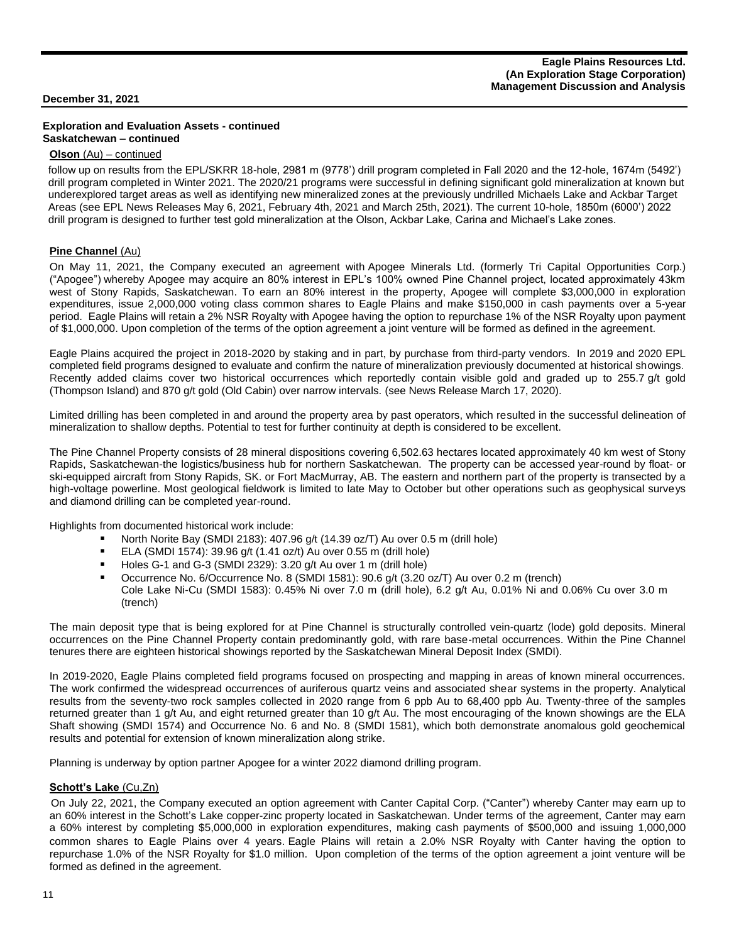## **Exploration and Evaluation Assets - continued Saskatchewan – continued**

#### **Olson** (Au) – continued

follow up on results from the EPL/SKRR 18-hole, 2981 m (9778') drill program completed in Fall 2020 and the 12-hole, 1674m (5492') drill program completed in Winter 2021. The 2020/21 programs were successful in defining significant gold mineralization at known but underexplored target areas as well as identifying new mineralized zones at the previously undrilled Michaels Lake and Ackbar Target Areas (see EPL News Releases May 6, 2021, February 4th, 2021 and March 25th, 2021). The current 10-hole, 1850m (6000') 2022 drill program is designed to further test gold mineralization at the Olson, Ackbar Lake, Carina and Michael's Lake zones.

## **Pine Channel (Au)**

On May 11, 2021, the Company executed an agreement with Apogee Minerals Ltd. (formerly Tri Capital Opportunities Corp.) ("Apogee") whereby Apogee may acquire an 80% interest in EPL's 100% owned Pine Channel project, located approximately 43km west of Stony Rapids, Saskatchewan. To earn an 80% interest in the property, Apogee will complete \$3,000,000 in exploration expenditures, issue 2,000,000 voting class common shares to Eagle Plains and make \$150,000 in cash payments over a 5-year period. Eagle Plains will retain a 2% NSR Royalty with Apogee having the option to repurchase 1% of the NSR Royalty upon payment of \$1,000,000. Upon completion of the terms of the option agreement a joint venture will be formed as defined in the agreement.

Eagle Plains acquired the project in 2018-2020 by staking and in part, by purchase from third-party vendors. In 2019 and 2020 EPL completed field programs designed to evaluate and confirm the nature of mineralization previously documented at historical showings. Recently added claims cover two historical occurrences which reportedly contain visible gold and graded up to 255.7 g/t gold (Thompson Island) and 870 g/t gold (Old Cabin) over narrow intervals. (see News Release March 17, 2020).

Limited drilling has been completed in and around the property area by past operators, which resulted in the successful delineation of mineralization to shallow depths. Potential to test for further continuity at depth is considered to be excellent.

The Pine Channel Property consists of 28 mineral dispositions covering 6,502.63 hectares located approximately 40 km west of Stony Rapids, Saskatchewan-the logistics/business hub for northern Saskatchewan. The property can be accessed year-round by float- or ski-equipped aircraft from Stony Rapids, SK. or Fort MacMurray, AB. The eastern and northern part of the property is transected by a high-voltage powerline. Most geological fieldwork is limited to late May to October but other operations such as geophysical surveys and diamond drilling can be completed year-round.

Highlights from documented historical work include:

- North Norite Bay (SMDI 2183): 407.96 g/t (14.39 oz/T) Au over 0.5 m (drill hole)
- ELA (SMDI 1574): 39.96 g/t (1.41 oz/t) Au over 0.55 m (drill hole)
- Holes G-1 and G-3 (SMDI 2329): 3.20 g/t Au over 1 m (drill hole)
- Occurrence No. 6/Occurrence No. 8 (SMDI 1581): 90.6 g/t (3.20 oz/T) Au over 0.2 m (trench) Cole Lake Ni-Cu (SMDI 1583): 0.45% Ni over 7.0 m (drill hole), 6.2 g/t Au, 0.01% Ni and 0.06% Cu over 3.0 m (trench)

The main deposit type that is being explored for at Pine Channel is structurally controlled vein-quartz (lode) gold deposits. Mineral occurrences on the Pine Channel Property contain predominantly gold, with rare base-metal occurrences. Within the Pine Channel tenures there are eighteen historical showings reported by the Saskatchewan Mineral Deposit Index (SMDI).

In 2019-2020, Eagle Plains completed field programs focused on prospecting and mapping in areas of known mineral occurrences. The work confirmed the widespread occurrences of auriferous quartz veins and associated shear systems in the property. Analytical results from the seventy-two rock samples collected in 2020 range from 6 ppb Au to 68,400 ppb Au. Twenty-three of the samples returned greater than 1 g/t Au, and eight returned greater than 10 g/t Au. The most encouraging of the known showings are the ELA Shaft showing (SMDI 1574) and Occurrence No. 6 and No. 8 (SMDI 1581), which both demonstrate anomalous gold geochemical results and potential for extension of known mineralization along strike.

Planning is underway by option partner Apogee for a winter 2022 diamond drilling program.

## **Schott's Lake** (Cu,Zn)

On July 22, 2021, the Company executed an option agreement with Canter Capital Corp. ("Canter") whereby Canter may earn up to an 60% interest in the Schott's Lake copper-zinc property located in Saskatchewan. Under terms of the agreement, Canter may earn a 60% interest by completing \$5,000,000 in exploration expenditures, making cash payments of \$500,000 and issuing 1,000,000 common shares to Eagle Plains over 4 years. Eagle Plains will retain a 2.0% NSR Royalty with Canter having the option to repurchase 1.0% of the NSR Royalty for \$1.0 million. Upon completion of the terms of the option agreement a joint venture will be formed as defined in the agreement.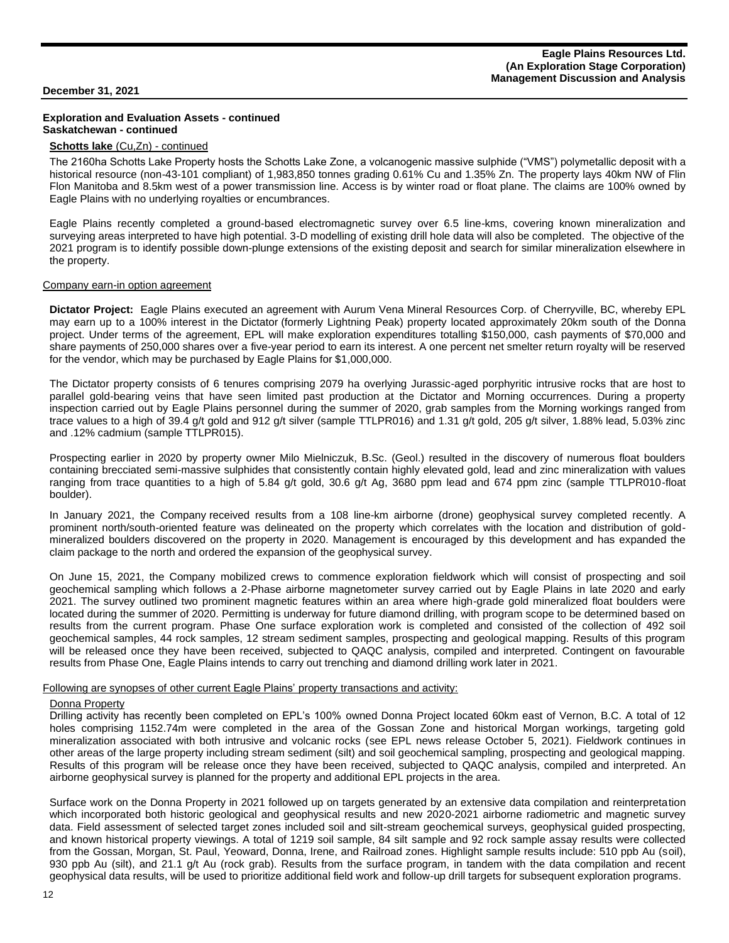#### **Exploration and Evaluation Assets - continued Saskatchewan - continued**

#### **Schotts lake** (Cu,Zn) - continued

The 2160ha Schotts Lake Property hosts the Schotts Lake Zone, a volcanogenic massive sulphide ("VMS") polymetallic deposit with a historical resource (non-43-101 compliant) of 1,983,850 tonnes grading 0.61% Cu and 1.35% Zn. The property lays 40km NW of Flin Flon Manitoba and 8.5km west of a power transmission line. Access is by winter road or float plane. The claims are 100% owned by Eagle Plains with no underlying royalties or encumbrances.

Eagle Plains recently completed a ground-based electromagnetic survey over 6.5 line-kms, covering known mineralization and surveying areas interpreted to have high potential. 3-D modelling of existing drill hole data will also be completed. The objective of the 2021 program is to identify possible down-plunge extensions of the existing deposit and search for similar mineralization elsewhere in the property.

#### Company earn-in option agreement

**Dictator Project:** Eagle Plains executed an agreement with Aurum Vena Mineral Resources Corp. of Cherryville, BC, whereby EPL may earn up to a 100% interest in the Dictator (formerly Lightning Peak) property located approximately 20km south of the Donna project. Under terms of the agreement, EPL will make exploration expenditures totalling \$150,000, cash payments of \$70,000 and share payments of 250,000 shares over a five-year period to earn its interest. A one percent net smelter return royalty will be reserved for the vendor, which may be purchased by Eagle Plains for \$1,000,000.

The Dictator property consists of 6 tenures comprising 2079 ha overlying Jurassic-aged porphyritic intrusive rocks that are host to parallel gold-bearing veins that have seen limited past production at the Dictator and Morning occurrences. During a property inspection carried out by Eagle Plains personnel during the summer of 2020, grab samples from the Morning workings ranged from trace values to a high of 39.4 g/t gold and 912 g/t silver (sample TTLPR016) and 1.31 g/t gold, 205 g/t silver, 1.88% lead, 5.03% zinc and .12% cadmium (sample TTLPR015).

Prospecting earlier in 2020 by property owner Milo Mielniczuk, B.Sc. (Geol.) resulted in the discovery of numerous float boulders containing brecciated semi-massive sulphides that consistently contain highly elevated gold, lead and zinc mineralization with values ranging from trace quantities to a high of 5.84 g/t gold, 30.6 g/t Ag, 3680 ppm lead and 674 ppm zinc (sample TTLPR010-float boulder).

In January 2021, the Company received results from a 108 line-km airborne (drone) geophysical survey completed recently. A prominent north/south-oriented feature was delineated on the property which correlates with the location and distribution of goldmineralized boulders discovered on the property in 2020. Management is encouraged by this development and has expanded the claim package to the north and ordered the expansion of the geophysical survey.

On June 15, 2021, the Company mobilized crews to commence exploration fieldwork which will consist of prospecting and soil geochemical sampling which follows a 2-Phase airborne magnetometer survey carried out by Eagle Plains in late 2020 and early 2021. The survey outlined two prominent magnetic features within an area where high-grade gold mineralized float boulders were located during the summer of 2020. Permitting is underway for future diamond drilling, with program scope to be determined based on results from the current program. Phase One surface exploration work is completed and consisted of the collection of 492 soil geochemical samples, 44 rock samples, 12 stream sediment samples, prospecting and geological mapping. Results of this program will be released once they have been received, subjected to QAQC analysis, compiled and interpreted. Contingent on favourable results from Phase One, Eagle Plains intends to carry out trenching and diamond drilling work later in 2021.

#### Following are synopses of other current Eagle Plains' property transactions and activity:

#### Donna Property

Drilling activity has recently been completed on EPL's 100% owned Donna Project located 60km east of Vernon, B.C. A total of 12 holes comprising 1152.74m were completed in the area of the Gossan Zone and historical Morgan workings, targeting gold mineralization associated with both intrusive and volcanic rocks (see EPL news release [October](https://www.eagleplains.com/news/eagle-plains-commences-drilling-100-owned-donna-gold-project-south-central-british-columbia) 5, 2021). Fieldwork continues in other areas of the large property including stream sediment (silt) and soil geochemical sampling, prospecting and geological mapping. Results of this program will be release once they have been received, subjected to QAQC analysis, compiled and interpreted. An airborne geophysical survey is planned for the property and additional EPL projects in the area.

Surface work on the Donna Property in 2021 followed up on targets generated by an extensive data compilation and reinterpretation which incorporated both historic geological and geophysical results and new 2020-2021 airborne radiometric and magnetic survey data. Field assessment of selected target zones included soil and silt-stream geochemical surveys, geophysical guided prospecting, and known historical property viewings. A total of 1219 soil sample, 84 silt sample and 92 rock sample assay results were collected from the Gossan, Morgan, St. Paul, Yeoward, Donna, Irene, and Railroad zones. Highlight sample results include: 510 ppb Au (soil), 930 ppb Au (silt), and 21.1 g/t Au (rock grab). Results from the surface program, in tandem with the data compilation and recent geophysical data results, will be used to prioritize additional field work and follow-up drill targets for subsequent exploration programs.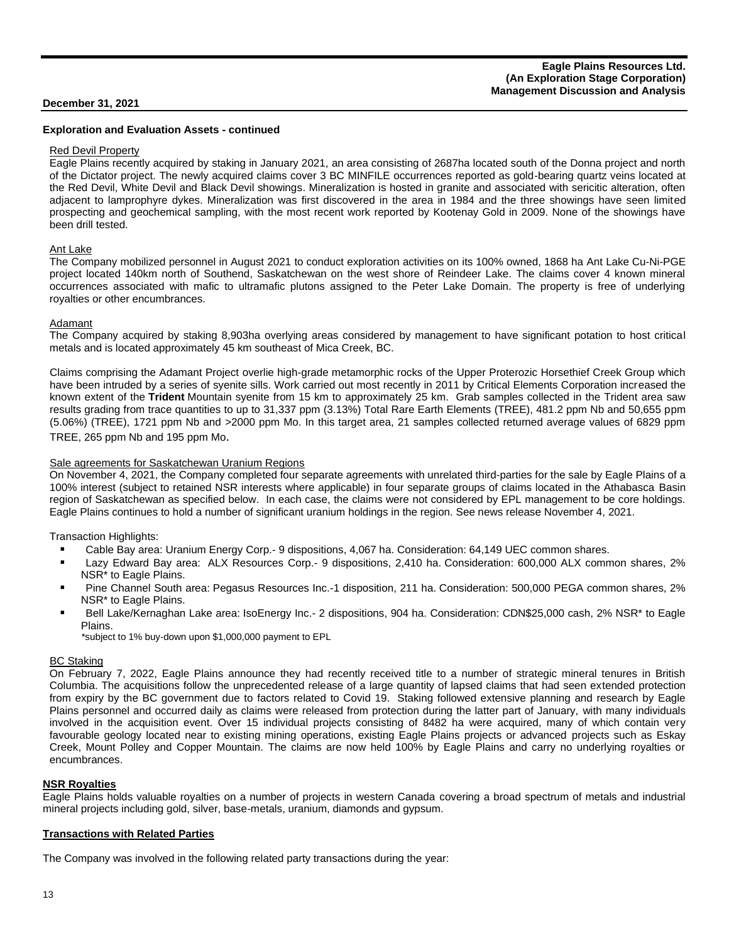#### **Exploration and Evaluation Assets - continued**

#### Red Devil Property

Eagle Plains recently acquired by staking in January 2021, an area consisting of 2687ha located south of the Donna project and north of the Dictator project. The newly acquired claims cover 3 BC MINFILE occurrences reported as gold-bearing quartz veins located at the Red Devil, White Devil and Black Devil showings. Mineralization is hosted in granite and associated with sericitic alteration, often adjacent to lamprophyre dykes. Mineralization was first discovered in the area in 1984 and the three showings have seen limited prospecting and geochemical sampling, with the most recent work reported by Kootenay Gold in 2009. None of the showings have been drill tested.

#### Ant Lake

The Company mobilized personnel in August 2021 to conduct exploration activities on its 100% owned, 1868 ha Ant Lake Cu-Ni-PGE project located 140km north of Southend, Saskatchewan on the west shore of Reindeer Lake. The claims cover 4 known mineral occurrences associated with mafic to ultramafic plutons assigned to the Peter Lake Domain. The property is free of underlying royalties or other encumbrances.

#### Adamant

The Company acquired by staking 8,903ha overlying areas considered by management to have significant potation to host critical metals and is located approximately 45 km southeast of Mica Creek, BC.

Claims comprising the Adamant Project overlie high-grade metamorphic rocks of the Upper Proterozic Horsethief Creek Group which have been intruded by a series of syenite sills. Work carried out most recently in 2011 by Critical Elements Corporation increased the known extent of the **Trident** Mountain syenite from 15 km to approximately 25 km. Grab samples collected in the Trident area saw results grading from trace quantities to up to 31,337 ppm (3.13%) Total Rare Earth Elements (TREE), 481.2 ppm Nb and 50,655 ppm (5.06%) (TREE), 1721 ppm Nb and >2000 ppm Mo. In this target area, 21 samples collected returned average values of 6829 ppm TREE, 265 ppm Nb and 195 ppm Mo.

#### Sale agreements for Saskatchewan Uranium Regions

On November 4, 2021, the Company completed four separate agreements with unrelated third-parties for the sale by Eagle Plains of a 100% interest (subject to retained NSR interests where applicable) in four separate groups of claims located in the Athabasca Basin region of Saskatchewan as specified below. In each case, the claims were not considered by EPL management to be core holdings. Eagle Plains continues to hold a number of significant uranium holdings in the region. See news release November 4, 2021.

Transaction Highlights:

- Cable Bay area: Uranium Energy Corp.- 9 dispositions, 4,067 ha. Consideration: 64,149 UEC common shares.
- Lazy Edward Bay area: ALX Resources Corp.- 9 dispositions, 2,410 ha. Consideration: 600,000 ALX common shares, 2% NSR\* to Eagle Plains.
- Pine Channel South area: Pegasus Resources Inc.-1 disposition, 211 ha. Consideration: 500,000 PEGA common shares, 2% NSR\* to Eagle Plains.
- Bell Lake/Kernaghan Lake area: IsoEnergy Inc.- 2 dispositions, 904 ha. Consideration: CDN\$25,000 cash, 2% NSR\* to Eagle Plains.

\*subject to 1% buy-down upon \$1,000,000 payment to EPL

#### **BC Staking**

On February 7, 2022, Eagle Plains announce they had recently received title to a number of strategic mineral tenures in British Columbia. The acquisitions follow the unprecedented release of a large quantity of lapsed claims that had seen extended protection from expiry by the BC government due to factors related to Covid 19. Staking followed extensive planning and research by Eagle Plains personnel and occurred daily as claims were released from protection during the latter part of January, with many individuals involved in the acquisition event. Over 15 individual projects consisting of 8482 ha were acquired, many of which contain very favourable geology located near to existing mining operations, existing Eagle Plains projects or advanced projects such as Eskay Creek, Mount Polley and Copper Mountain. The claims are now held 100% by Eagle Plains and carry no underlying royalties or encumbrances.

#### **NSR Royalties**

Eagle Plains holds valuable royalties on a number of projects in western Canada covering a broad spectrum of metals and industrial mineral projects including gold, silver, base-metals, uranium, diamonds and gypsum.

#### **Transactions with Related Parties**

The Company was involved in the following related party transactions during the year: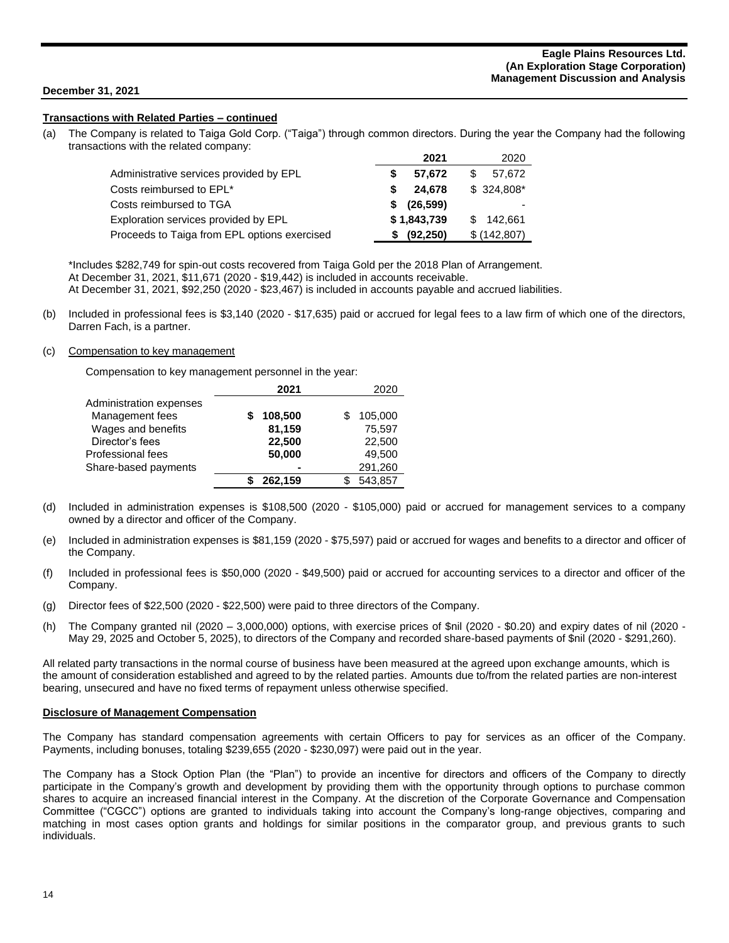#### **Transactions with Related Parties – continued**

(a) The Company is related to Taiga Gold Corp. ("Taiga") through common directors. During the year the Company had the following transactions with the related company:

|                                              | 2021            | 2020          |
|----------------------------------------------|-----------------|---------------|
| Administrative services provided by EPL      | 57.672          | \$.<br>57,672 |
| Costs reimbursed to EPL*                     | 24.678          | $$324,808$ *  |
| Costs reimbursed to TGA                      | (26, 599)<br>S. | -             |
| Exploration services provided by EPL         | \$1,843,739     | 142,661       |
| Proceeds to Taiga from EPL options exercised | (92, 250)<br>\$ | \$ (142,807)  |

\*Includes \$282,749 for spin-out costs recovered from Taiga Gold per the 2018 Plan of Arrangement.

At December 31, 2021, \$11,671 (2020 - \$19,442) is included in accounts receivable.

At December 31, 2021, \$92,250 (2020 - \$23,467) is included in accounts payable and accrued liabilities.

(b) Included in professional fees is \$3,140 (2020 - \$17,635) paid or accrued for legal fees to a law firm of which one of the directors, Darren Fach, is a partner.

#### (c) Compensation to key management

Compensation to key management personnel in the year:

|                         | 2021    | 2020    |
|-------------------------|---------|---------|
| Administration expenses |         |         |
| Management fees         | 108,500 | 105,000 |
| Wages and benefits      | 81,159  | 75,597  |
| Director's fees         | 22,500  | 22,500  |
| Professional fees       | 50,000  | 49.500  |
| Share-based payments    |         | 291,260 |
|                         | 262,159 | 543.857 |

- (d) Included in administration expenses is \$108,500 (2020 \$105,000) paid or accrued for management services to a company owned by a director and officer of the Company.
- (e) Included in administration expenses is \$81,159 (2020 \$75,597) paid or accrued for wages and benefits to a director and officer of the Company.
- (f) Included in professional fees is \$50,000 (2020 \$49,500) paid or accrued for accounting services to a director and officer of the Company.
- (g) Director fees of \$22,500 (2020 \$22,500) were paid to three directors of the Company.
- (h) The Company granted nil (2020 3,000,000) options, with exercise prices of \$nil (2020 \$0.20) and expiry dates of nil (2020 May 29, 2025 and October 5, 2025), to directors of the Company and recorded share-based payments of \$nil (2020 - \$291,260).

All related party transactions in the normal course of business have been measured at the agreed upon exchange amounts, which is the amount of consideration established and agreed to by the related parties. Amounts due to/from the related parties are non-interest bearing, unsecured and have no fixed terms of repayment unless otherwise specified.

#### **Disclosure of Management Compensation**

The Company has standard compensation agreements with certain Officers to pay for services as an officer of the Company. Payments, including bonuses, totaling \$239,655 (2020 - \$230,097) were paid out in the year.

The Company has a Stock Option Plan (the "Plan") to provide an incentive for directors and officers of the Company to directly participate in the Company's growth and development by providing them with the opportunity through options to purchase common shares to acquire an increased financial interest in the Company. At the discretion of the Corporate Governance and Compensation Committee ("CGCC") options are granted to individuals taking into account the Company's long-range objectives, comparing and matching in most cases option grants and holdings for similar positions in the comparator group, and previous grants to such individuals.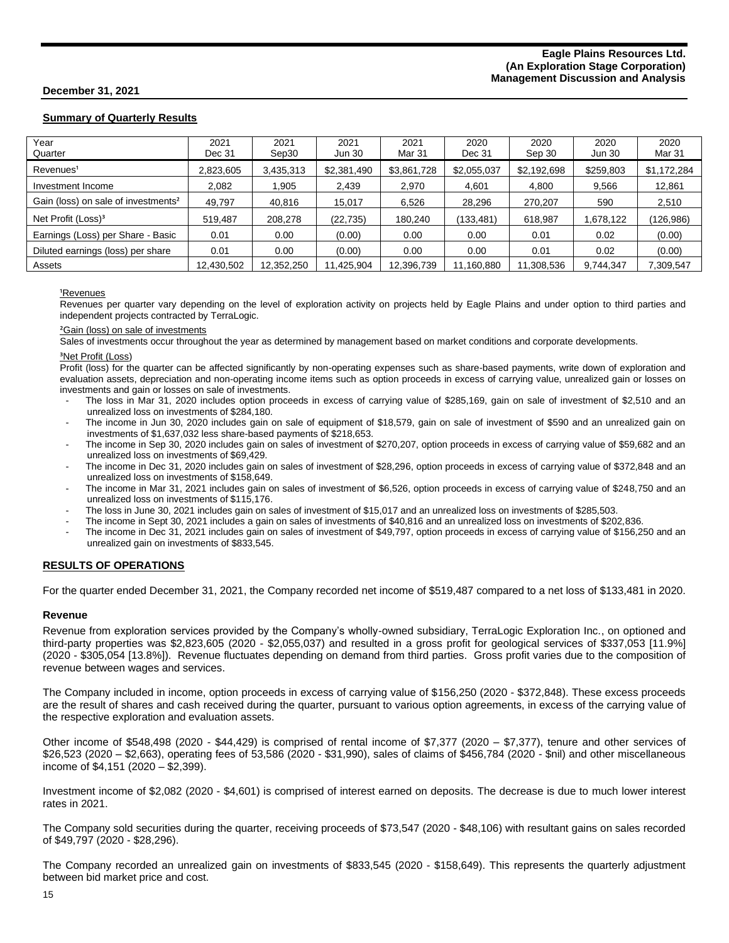## **Summary of Quarterly Results**

| Year<br>Quarter                                 | 2021<br>Dec 31 | 2021<br>Sep30 | 2021<br><b>Jun 30</b> | 2021<br>Mar 31 | 2020<br>Dec 31 | 2020<br>Sep 30 | 2020<br><b>Jun 30</b> | 2020<br>Mar 31 |
|-------------------------------------------------|----------------|---------------|-----------------------|----------------|----------------|----------------|-----------------------|----------------|
| Revenues <sup>1</sup>                           | 2,823,605      | 3,435,313     | \$2,381,490           | \$3,861,728    | \$2,055,037    | \$2,192,698    | \$259,803             | \$1,172,284    |
| Investment Income                               | 2.082          | .905          | 2,439                 | 2,970          | 4,601          | 4,800          | 9,566                 | 12,861         |
| Gain (loss) on sale of investments <sup>2</sup> | 49,797         | 40,816        | 15,017                | 6,526          | 28,296         | 270,207        | 590                   | 2,510          |
| Net Profit (Loss) <sup>3</sup>                  | 519,487        | 208.278       | (22, 735)             | 180,240        | (133,481)      | 618,987        | 1,678,122             | (126,986)      |
| Earnings (Loss) per Share - Basic               | 0.01           | 0.00          | (0.00)                | 0.00           | 0.00           | 0.01           | 0.02                  | (0.00)         |
| Diluted earnings (loss) per share               | 0.01           | 0.00          | (0.00)                | 0.00           | 0.00           | 0.01           | 0.02                  | (0.00)         |
| Assets                                          | 12,430,502     | 12,352,250    | 11,425,904            | 12,396,739     | 11,160,880     | 11,308,536     | 9,744,347             | 7,309,547      |

#### <sup>1</sup>Revenues

Revenues per quarter vary depending on the level of exploration activity on projects held by Eagle Plains and under option to third parties and independent projects contracted by TerraLogic.

#### <sup>2</sup>Gain (loss) on sale of investments

Sales of investments occur throughout the year as determined by management based on market conditions and corporate developments.

#### <sup>3</sup>Net Profit (Loss)

Profit (loss) for the quarter can be affected significantly by non-operating expenses such as share-based payments, write down of exploration and evaluation assets, depreciation and non-operating income items such as option proceeds in excess of carrying value, unrealized gain or losses on investments and gain or losses on sale of investments.

- The loss in Mar 31, 2020 includes option proceeds in excess of carrying value of \$285,169, gain on sale of investment of \$2,510 and an unrealized loss on investments of \$284,180.
- The income in Jun 30, 2020 includes gain on sale of equipment of \$18,579, gain on sale of investment of \$590 and an unrealized gain on investments of \$1,637,032 less share-based payments of \$218,653.
- The income in Sep 30, 2020 includes gain on sales of investment of \$270,207, option proceeds in excess of carrying value of \$59,682 and an unrealized loss on investments of \$69,429.
- The income in Dec 31, 2020 includes gain on sales of investment of \$28,296, option proceeds in excess of carrying value of \$372,848 and an unrealized loss on investments of \$158,649.
- The income in Mar 31, 2021 includes gain on sales of investment of \$6,526, option proceeds in excess of carrying value of \$248,750 and an unrealized loss on investments of \$115,176.
- The loss in June 30, 2021 includes gain on sales of investment of \$15,017 and an unrealized loss on investments of \$285,503.
- The income in Sept 30, 2021 includes a gain on sales of investments of \$40,816 and an unrealized loss on investments of \$202,836.
- The income in Dec 31, 2021 includes gain on sales of investment of \$49,797, option proceeds in excess of carrying value of \$156,250 and an unrealized gain on investments of \$833,545.

## **RESULTS OF OPERATIONS**

For the quarter ended December 31, 2021, the Company recorded net income of \$519,487 compared to a net loss of \$133,481 in 2020.

#### **Revenue**

Revenue from exploration services provided by the Company's wholly-owned subsidiary, TerraLogic Exploration Inc., on optioned and third-party properties was \$2,823,605 (2020 - \$2,055,037) and resulted in a gross profit for geological services of \$337,053 [11.9%] (2020 - \$305,054 [13.8%]). Revenue fluctuates depending on demand from third parties. Gross profit varies due to the composition of revenue between wages and services.

The Company included in income, option proceeds in excess of carrying value of \$156,250 (2020 - \$372,848). These excess proceeds are the result of shares and cash received during the quarter, pursuant to various option agreements, in excess of the carrying value of the respective exploration and evaluation assets.

Other income of \$548,498 (2020 - \$44,429) is comprised of rental income of \$7,377 (2020 – \$7,377), tenure and other services of \$26,523 (2020 – \$2,663), operating fees of 53,586 (2020 - \$31,990), sales of claims of \$456,784 (2020 - \$nil) and other miscellaneous income of \$4,151 (2020 – \$2,399).

Investment income of \$2,082 (2020 - \$4,601) is comprised of interest earned on deposits. The decrease is due to much lower interest rates in 2021.

The Company sold securities during the quarter, receiving proceeds of \$73,547 (2020 - \$48,106) with resultant gains on sales recorded of \$49,797 (2020 - \$28,296).

The Company recorded an unrealized gain on investments of \$833,545 (2020 - \$158,649). This represents the quarterly adjustment between bid market price and cost.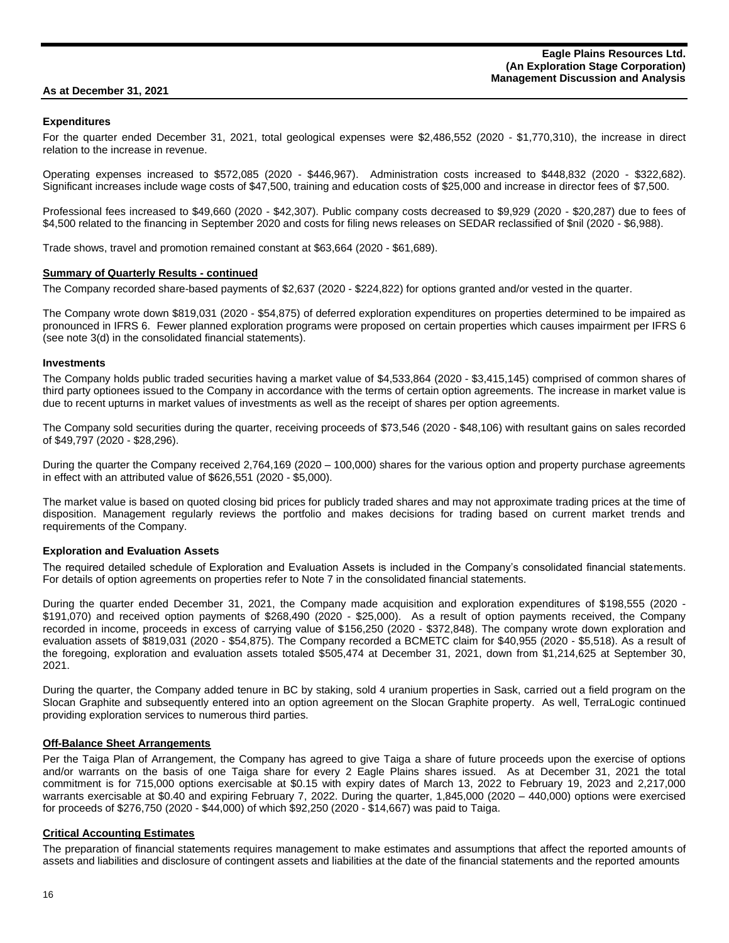#### **As at December 31, 2021**

#### **Expenditures**

For the quarter ended December 31, 2021, total geological expenses were \$2,486,552 (2020 - \$1,770,310), the increase in direct relation to the increase in revenue.

Operating expenses increased to \$572,085 (2020 - \$446,967). Administration costs increased to \$448,832 (2020 - \$322,682). Significant increases include wage costs of \$47,500, training and education costs of \$25,000 and increase in director fees of \$7,500.

Professional fees increased to \$49,660 (2020 - \$42,307). Public company costs decreased to \$9,929 (2020 - \$20,287) due to fees of \$4,500 related to the financing in September 2020 and costs for filing news releases on SEDAR reclassified of \$nil (2020 - \$6,988).

Trade shows, travel and promotion remained constant at \$63,664 (2020 - \$61,689).

#### **Summary of Quarterly Results - continued**

The Company recorded share-based payments of \$2,637 (2020 - \$224,822) for options granted and/or vested in the quarter.

The Company wrote down \$819,031 (2020 - \$54,875) of deferred exploration expenditures on properties determined to be impaired as pronounced in IFRS 6. Fewer planned exploration programs were proposed on certain properties which causes impairment per IFRS 6 (see note 3(d) in the consolidated financial statements).

#### **Investments**

The Company holds public traded securities having a market value of \$4,533,864 (2020 - \$3,415,145) comprised of common shares of third party optionees issued to the Company in accordance with the terms of certain option agreements. The increase in market value is due to recent upturns in market values of investments as well as the receipt of shares per option agreements.

The Company sold securities during the quarter, receiving proceeds of \$73,546 (2020 - \$48,106) with resultant gains on sales recorded of \$49,797 (2020 - \$28,296).

During the quarter the Company received 2,764,169 (2020 – 100,000) shares for the various option and property purchase agreements in effect with an attributed value of \$626,551 (2020 - \$5,000).

The market value is based on quoted closing bid prices for publicly traded shares and may not approximate trading prices at the time of disposition. Management regularly reviews the portfolio and makes decisions for trading based on current market trends and requirements of the Company.

#### **Exploration and Evaluation Assets**

The required detailed schedule of Exploration and Evaluation Assets is included in the Company's consolidated financial statements. For details of option agreements on properties refer to Note 7 in the consolidated financial statements.

During the quarter ended December 31, 2021, the Company made acquisition and exploration expenditures of \$198,555 (2020 - \$191,070) and received option payments of \$268,490 (2020 - \$25,000). As a result of option payments received, the Company recorded in income, proceeds in excess of carrying value of \$156,250 (2020 - \$372,848). The company wrote down exploration and evaluation assets of \$819,031 (2020 - \$54,875). The Company recorded a BCMETC claim for \$40,955 (2020 - \$5,518). As a result of the foregoing, exploration and evaluation assets totaled \$505,474 at December 31, 2021, down from \$1,214,625 at September 30, 2021.

During the quarter, the Company added tenure in BC by staking, sold 4 uranium properties in Sask, carried out a field program on the Slocan Graphite and subsequently entered into an option agreement on the Slocan Graphite property. As well, TerraLogic continued providing exploration services to numerous third parties.

#### **Off-Balance Sheet Arrangements**

Per the Taiga Plan of Arrangement, the Company has agreed to give Taiga a share of future proceeds upon the exercise of options and/or warrants on the basis of one Taiga share for every 2 Eagle Plains shares issued. As at December 31, 2021 the total commitment is for 715,000 options exercisable at \$0.15 with expiry dates of March 13, 2022 to February 19, 2023 and 2,217,000 warrants exercisable at \$0.40 and expiring February 7, 2022. During the quarter,  $1,845,000$  (2020 – 440,000) options were exercised for proceeds of \$276,750 (2020 - \$44,000) of which \$92,250 (2020 - \$14,667) was paid to Taiga.

#### **Critical Accounting Estimates**

The preparation of financial statements requires management to make estimates and assumptions that affect the reported amounts of assets and liabilities and disclosure of contingent assets and liabilities at the date of the financial statements and the reported amounts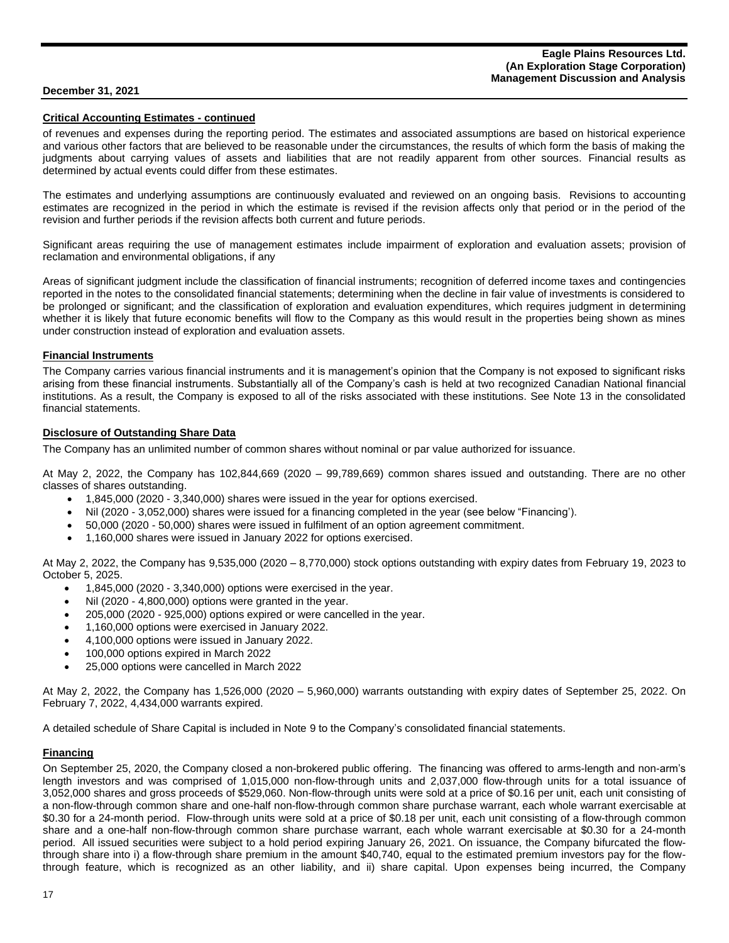#### **Critical Accounting Estimates - continued**

of revenues and expenses during the reporting period. The estimates and associated assumptions are based on historical experience and various other factors that are believed to be reasonable under the circumstances, the results of which form the basis of making the judgments about carrying values of assets and liabilities that are not readily apparent from other sources. Financial results as determined by actual events could differ from these estimates.

The estimates and underlying assumptions are continuously evaluated and reviewed on an ongoing basis. Revisions to accounting estimates are recognized in the period in which the estimate is revised if the revision affects only that period or in the period of the revision and further periods if the revision affects both current and future periods.

Significant areas requiring the use of management estimates include impairment of exploration and evaluation assets; provision of reclamation and environmental obligations, if any

Areas of significant judgment include the classification of financial instruments; recognition of deferred income taxes and contingencies reported in the notes to the consolidated financial statements; determining when the decline in fair value of investments is considered to be prolonged or significant; and the classification of exploration and evaluation expenditures, which requires judgment in determining whether it is likely that future economic benefits will flow to the Company as this would result in the properties being shown as mines under construction instead of exploration and evaluation assets.

#### **Financial Instruments**

The Company carries various financial instruments and it is management's opinion that the Company is not exposed to significant risks arising from these financial instruments. Substantially all of the Company's cash is held at two recognized Canadian National financial institutions. As a result, the Company is exposed to all of the risks associated with these institutions. See Note 13 in the consolidated financial statements.

#### **Disclosure of Outstanding Share Data**

The Company has an unlimited number of common shares without nominal or par value authorized for issuance.

At May 2, 2022, the Company has 102,844,669 (2020 – 99,789,669) common shares issued and outstanding. There are no other classes of shares outstanding.

- 1,845,000 (2020 3,340,000) shares were issued in the year for options exercised.
- Nil (2020 3,052,000) shares were issued for a financing completed in the year (see below "Financing').
- 50,000 (2020 50,000) shares were issued in fulfilment of an option agreement commitment.
- 1,160,000 shares were issued in January 2022 for options exercised.

At May 2, 2022, the Company has 9,535,000 (2020 – 8,770,000) stock options outstanding with expiry dates from February 19, 2023 to October 5, 2025.

- $\bullet$  1,845,000 (2020 3,340,000) options were exercised in the year.
- Nil (2020 4,800,000) options were granted in the year.
- 205,000 (2020 925,000) options expired or were cancelled in the year.
- 1,160,000 options were exercised in January 2022.
- 4,100,000 options were issued in January 2022.
- 100,000 options expired in March 2022
- 25,000 options were cancelled in March 2022

At May 2, 2022, the Company has 1,526,000 (2020 – 5,960,000) warrants outstanding with expiry dates of September 25, 2022. On February 7, 2022, 4,434,000 warrants expired.

A detailed schedule of Share Capital is included in Note 9 to the Company's consolidated financial statements.

#### **Financing**

On September 25, 2020, the Company closed a non-brokered public offering. The financing was offered to arms-length and non-arm's length investors and was comprised of 1,015,000 non-flow-through units and 2,037,000 flow-through units for a total issuance of 3,052,000 shares and gross proceeds of \$529,060. Non-flow-through units were sold at a price of \$0.16 per unit, each unit consisting of a non-flow-through common share and one-half non-flow-through common share purchase warrant, each whole warrant exercisable at \$0.30 for a 24-month period. Flow-through units were sold at a price of \$0.18 per unit, each unit consisting of a flow-through common share and a one-half non-flow-through common share purchase warrant, each whole warrant exercisable at \$0.30 for a 24-month period. All issued securities were subject to a hold period expiring January 26, 2021. On issuance, the Company bifurcated the flowthrough share into i) a flow-through share premium in the amount \$40,740, equal to the estimated premium investors pay for the flowthrough feature, which is recognized as an other liability, and ii) share capital. Upon expenses being incurred, the Company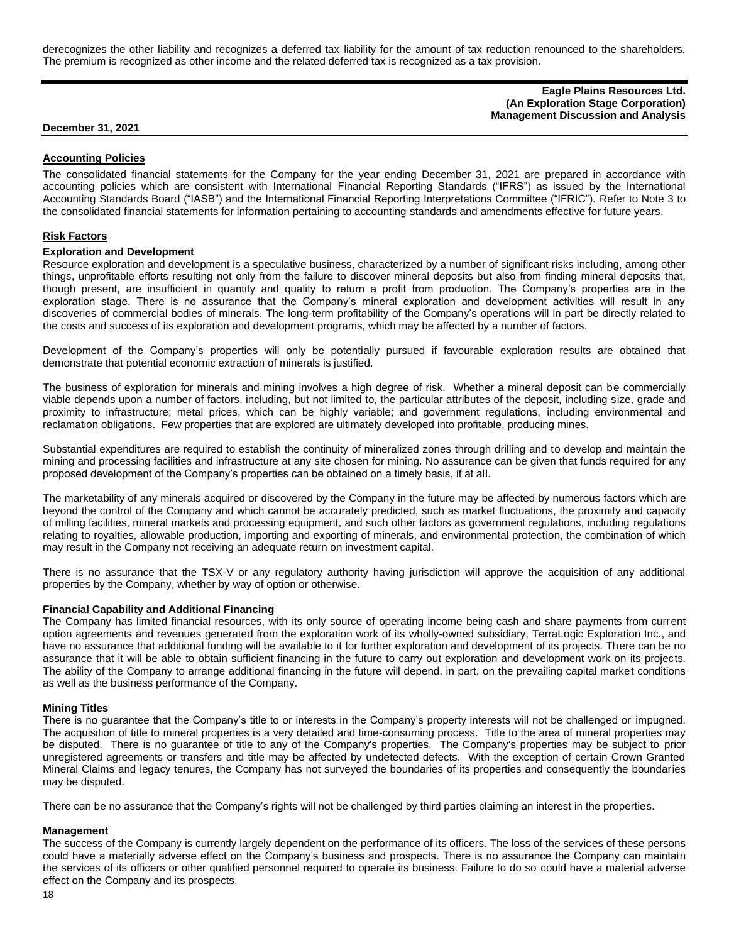derecognizes the other liability and recognizes a deferred tax liability for the amount of tax reduction renounced to the shareholders. The premium is recognized as other income and the related deferred tax is recognized as a tax provision.

#### **Eagle Plains Resources Ltd. (An Exploration Stage Corporation) Management Discussion and Analysis**

#### **December 31, 2021**

#### **Accounting Policies**

The consolidated financial statements for the Company for the year ending December 31, 2021 are prepared in accordance with accounting policies which are consistent with International Financial Reporting Standards ("IFRS") as issued by the International Accounting Standards Board ("IASB") and the International Financial Reporting Interpretations Committee ("IFRIC"). Refer to Note 3 to the consolidated financial statements for information pertaining to accounting standards and amendments effective for future years.

#### **Risk Factors**

#### **Exploration and Development**

Resource exploration and development is a speculative business, characterized by a number of significant risks including, among other things, unprofitable efforts resulting not only from the failure to discover mineral deposits but also from finding mineral deposits that, though present, are insufficient in quantity and quality to return a profit from production. The Company's properties are in the exploration stage. There is no assurance that the Company's mineral exploration and development activities will result in any discoveries of commercial bodies of minerals. The long-term profitability of the Company's operations will in part be directly related to the costs and success of its exploration and development programs, which may be affected by a number of factors.

Development of the Company's properties will only be potentially pursued if favourable exploration results are obtained that demonstrate that potential economic extraction of minerals is justified.

The business of exploration for minerals and mining involves a high degree of risk. Whether a mineral deposit can be commercially viable depends upon a number of factors, including, but not limited to, the particular attributes of the deposit, including size, grade and proximity to infrastructure; metal prices, which can be highly variable; and government regulations, including environmental and reclamation obligations. Few properties that are explored are ultimately developed into profitable, producing mines.

Substantial expenditures are required to establish the continuity of mineralized zones through drilling and to develop and maintain the mining and processing facilities and infrastructure at any site chosen for mining. No assurance can be given that funds required for any proposed development of the Company's properties can be obtained on a timely basis, if at all.

The marketability of any minerals acquired or discovered by the Company in the future may be affected by numerous factors which are beyond the control of the Company and which cannot be accurately predicted, such as market fluctuations, the proximity and capacity of milling facilities, mineral markets and processing equipment, and such other factors as government regulations, including regulations relating to royalties, allowable production, importing and exporting of minerals, and environmental protection, the combination of which may result in the Company not receiving an adequate return on investment capital.

There is no assurance that the TSX-V or any regulatory authority having jurisdiction will approve the acquisition of any additional properties by the Company, whether by way of option or otherwise.

#### **Financial Capability and Additional Financing**

The Company has limited financial resources, with its only source of operating income being cash and share payments from current option agreements and revenues generated from the exploration work of its wholly-owned subsidiary, TerraLogic Exploration Inc., and have no assurance that additional funding will be available to it for further exploration and development of its projects. There can be no assurance that it will be able to obtain sufficient financing in the future to carry out exploration and development work on its projects. The ability of the Company to arrange additional financing in the future will depend, in part, on the prevailing capital market conditions as well as the business performance of the Company.

#### **Mining Titles**

There is no guarantee that the Company's title to or interests in the Company's property interests will not be challenged or impugned. The acquisition of title to mineral properties is a very detailed and time-consuming process. Title to the area of mineral properties may be disputed. There is no guarantee of title to any of the Company's properties. The Company's properties may be subject to prior unregistered agreements or transfers and title may be affected by undetected defects. With the exception of certain Crown Granted Mineral Claims and legacy tenures, the Company has not surveyed the boundaries of its properties and consequently the boundaries may be disputed.

There can be no assurance that the Company's rights will not be challenged by third parties claiming an interest in the properties.

#### **Management**

The success of the Company is currently largely dependent on the performance of its officers. The loss of the services of these persons could have a materially adverse effect on the Company's business and prospects. There is no assurance the Company can maintain the services of its officers or other qualified personnel required to operate its business. Failure to do so could have a material adverse effect on the Company and its prospects.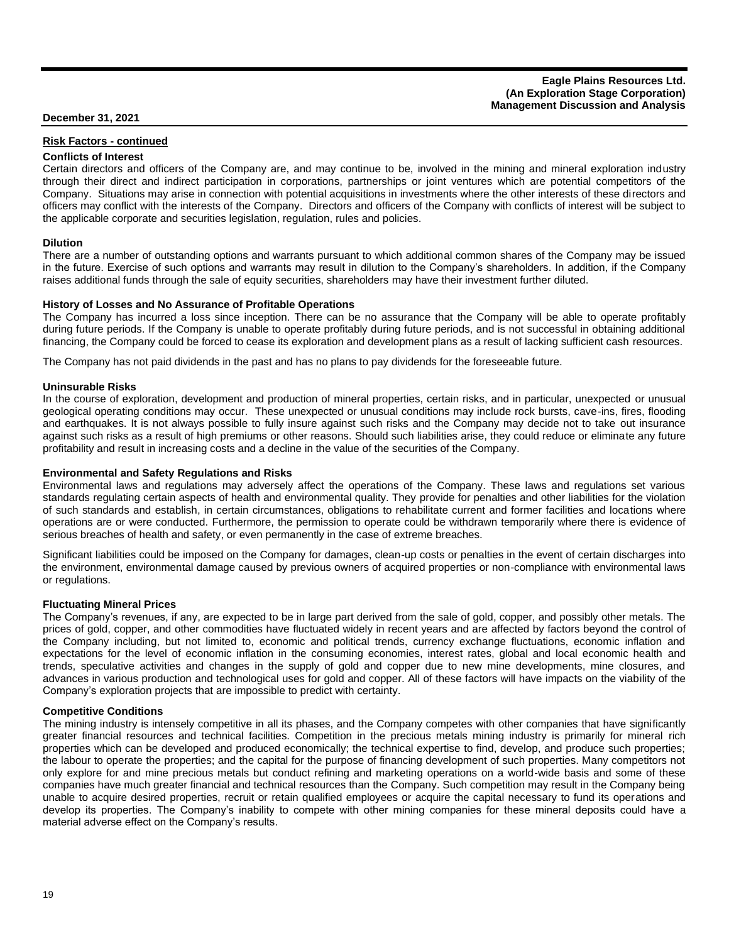#### **Eagle Plains Resources Ltd. (An Exploration Stage Corporation) Management Discussion and Analysis**

## **December 31, 2021**

## **Risk Factors - continued**

## **Conflicts of Interest**

Certain directors and officers of the Company are, and may continue to be, involved in the mining and mineral exploration industry through their direct and indirect participation in corporations, partnerships or joint ventures which are potential competitors of the Company. Situations may arise in connection with potential acquisitions in investments where the other interests of these directors and officers may conflict with the interests of the Company. Directors and officers of the Company with conflicts of interest will be subject to the applicable corporate and securities legislation, regulation, rules and policies.

#### **Dilution**

There are a number of outstanding options and warrants pursuant to which additional common shares of the Company may be issued in the future. Exercise of such options and warrants may result in dilution to the Company's shareholders. In addition, if the Company raises additional funds through the sale of equity securities, shareholders may have their investment further diluted.

#### **History of Losses and No Assurance of Profitable Operations**

The Company has incurred a loss since inception. There can be no assurance that the Company will be able to operate profitably during future periods. If the Company is unable to operate profitably during future periods, and is not successful in obtaining additional financing, the Company could be forced to cease its exploration and development plans as a result of lacking sufficient cash resources.

The Company has not paid dividends in the past and has no plans to pay dividends for the foreseeable future.

#### **Uninsurable Risks**

In the course of exploration, development and production of mineral properties, certain risks, and in particular, unexpected or unusual geological operating conditions may occur. These unexpected or unusual conditions may include rock bursts, cave-ins, fires, flooding and earthquakes. It is not always possible to fully insure against such risks and the Company may decide not to take out insurance against such risks as a result of high premiums or other reasons. Should such liabilities arise, they could reduce or eliminate any future profitability and result in increasing costs and a decline in the value of the securities of the Company.

#### **Environmental and Safety Regulations and Risks**

Environmental laws and regulations may adversely affect the operations of the Company. These laws and regulations set various standards regulating certain aspects of health and environmental quality. They provide for penalties and other liabilities for the violation of such standards and establish, in certain circumstances, obligations to rehabilitate current and former facilities and locations where operations are or were conducted. Furthermore, the permission to operate could be withdrawn temporarily where there is evidence of serious breaches of health and safety, or even permanently in the case of extreme breaches.

Significant liabilities could be imposed on the Company for damages, clean-up costs or penalties in the event of certain discharges into the environment, environmental damage caused by previous owners of acquired properties or non-compliance with environmental laws or regulations.

#### **Fluctuating Mineral Prices**

The Company's revenues, if any, are expected to be in large part derived from the sale of gold, copper, and possibly other metals. The prices of gold, copper, and other commodities have fluctuated widely in recent years and are affected by factors beyond the control of the Company including, but not limited to, economic and political trends, currency exchange fluctuations, economic inflation and expectations for the level of economic inflation in the consuming economies, interest rates, global and local economic health and trends, speculative activities and changes in the supply of gold and copper due to new mine developments, mine closures, and advances in various production and technological uses for gold and copper. All of these factors will have impacts on the viability of the Company's exploration projects that are impossible to predict with certainty.

#### **Competitive Conditions**

The mining industry is intensely competitive in all its phases, and the Company competes with other companies that have significantly greater financial resources and technical facilities. Competition in the precious metals mining industry is primarily for mineral rich properties which can be developed and produced economically; the technical expertise to find, develop, and produce such properties; the labour to operate the properties; and the capital for the purpose of financing development of such properties. Many competitors not only explore for and mine precious metals but conduct refining and marketing operations on a world-wide basis and some of these companies have much greater financial and technical resources than the Company. Such competition may result in the Company being unable to acquire desired properties, recruit or retain qualified employees or acquire the capital necessary to fund its operations and develop its properties. The Company's inability to compete with other mining companies for these mineral deposits could have a material adverse effect on the Company's results.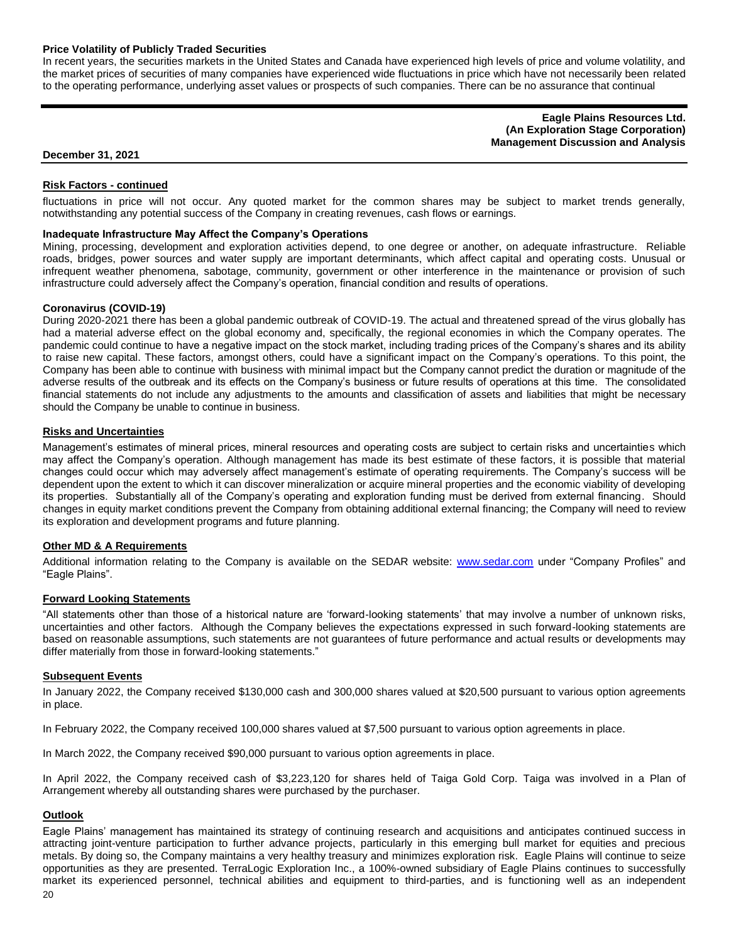#### **Price Volatility of Publicly Traded Securities**

In recent years, the securities markets in the United States and Canada have experienced high levels of price and volume volatility, and the market prices of securities of many companies have experienced wide fluctuations in price which have not necessarily been related to the operating performance, underlying asset values or prospects of such companies. There can be no assurance that continual

> **Eagle Plains Resources Ltd. (An Exploration Stage Corporation) Management Discussion and Analysis**

#### **December 31, 2021**

#### **Risk Factors - continued**

fluctuations in price will not occur. Any quoted market for the common shares may be subject to market trends generally, notwithstanding any potential success of the Company in creating revenues, cash flows or earnings.

# **Inadequate Infrastructure May Affect the Company's Operations**

Mining, processing, development and exploration activities depend, to one degree or another, on adequate infrastructure. Reliable roads, bridges, power sources and water supply are important determinants, which affect capital and operating costs. Unusual or infrequent weather phenomena, sabotage, community, government or other interference in the maintenance or provision of such infrastructure could adversely affect the Company's operation, financial condition and results of operations.

#### **Coronavirus (COVID-19)**

During 2020-2021 there has been a global pandemic outbreak of COVID-19. The actual and threatened spread of the virus globally has had a material adverse effect on the global economy and, specifically, the regional economies in which the Company operates. The pandemic could continue to have a negative impact on the stock market, including trading prices of the Company's shares and its ability to raise new capital. These factors, amongst others, could have a significant impact on the Company's operations. To this point, the Company has been able to continue with business with minimal impact but the Company cannot predict the duration or magnitude of the adverse results of the outbreak and its effects on the Company's business or future results of operations at this time. The consolidated financial statements do not include any adjustments to the amounts and classification of assets and liabilities that might be necessary should the Company be unable to continue in business.

#### **Risks and Uncertainties**

Management's estimates of mineral prices, mineral resources and operating costs are subject to certain risks and uncertainties which may affect the Company's operation. Although management has made its best estimate of these factors, it is possible that material changes could occur which may adversely affect management's estimate of operating requirements. The Company's success will be dependent upon the extent to which it can discover mineralization or acquire mineral properties and the economic viability of developing its properties. Substantially all of the Company's operating and exploration funding must be derived from external financing. Should changes in equity market conditions prevent the Company from obtaining additional external financing; the Company will need to review its exploration and development programs and future planning.

#### **Other MD & A Requirements**

Additional information relating to the Company is available on the SEDAR website: [www.sedar.com](http://www.sedar.com/) under "Company Profiles" and "Eagle Plains".

#### **Forward Looking Statements**

"All statements other than those of a historical nature are 'forward-looking statements' that may involve a number of unknown risks, uncertainties and other factors. Although the Company believes the expectations expressed in such forward-looking statements are based on reasonable assumptions, such statements are not guarantees of future performance and actual results or developments may differ materially from those in forward-looking statements."

#### **Subsequent Events**

In January 2022, the Company received \$130,000 cash and 300,000 shares valued at \$20,500 pursuant to various option agreements in place.

In February 2022, the Company received 100,000 shares valued at \$7,500 pursuant to various option agreements in place.

In March 2022, the Company received \$90,000 pursuant to various option agreements in place.

In April 2022, the Company received cash of \$3,223,120 for shares held of Taiga Gold Corp. Taiga was involved in a Plan of Arrangement whereby all outstanding shares were purchased by the purchaser.

#### **Outlook**

Eagle Plains' management has maintained its strategy of continuing research and acquisitions and anticipates continued success in attracting joint-venture participation to further advance projects, particularly in this emerging bull market for equities and precious metals. By doing so, the Company maintains a very healthy treasury and minimizes exploration risk. Eagle Plains will continue to seize opportunities as they are presented. TerraLogic Exploration Inc., a 100%-owned subsidiary of Eagle Plains continues to successfully market its experienced personnel, technical abilities and equipment to third-parties, and is functioning well as an independent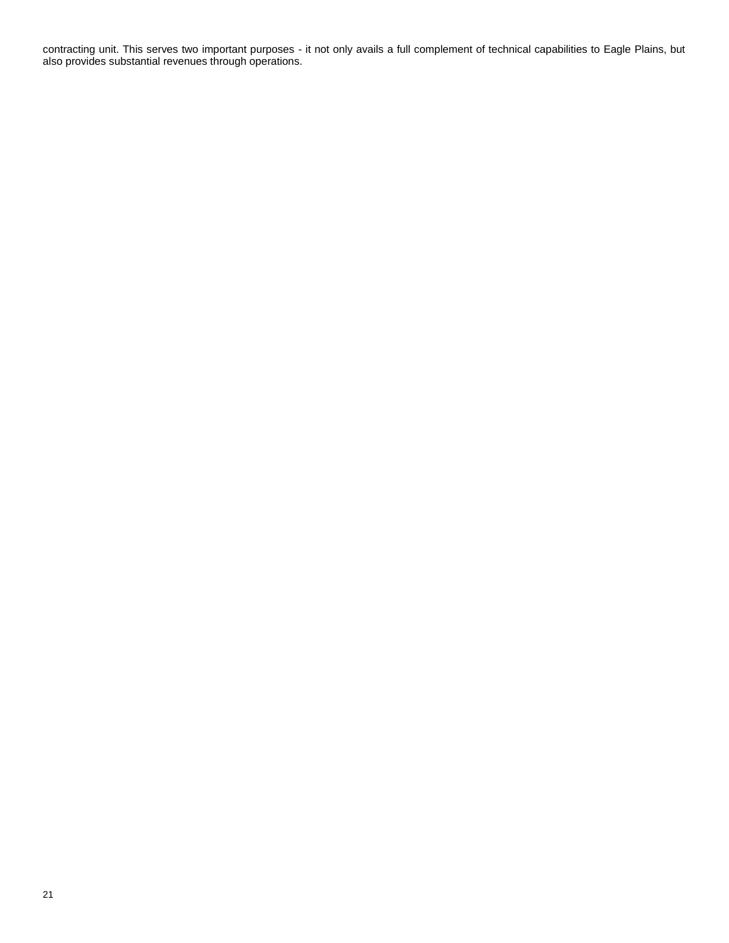contracting unit. This serves two important purposes - it not only avails a full complement of technical capabilities to Eagle Plains, but also provides substantial revenues through operations.